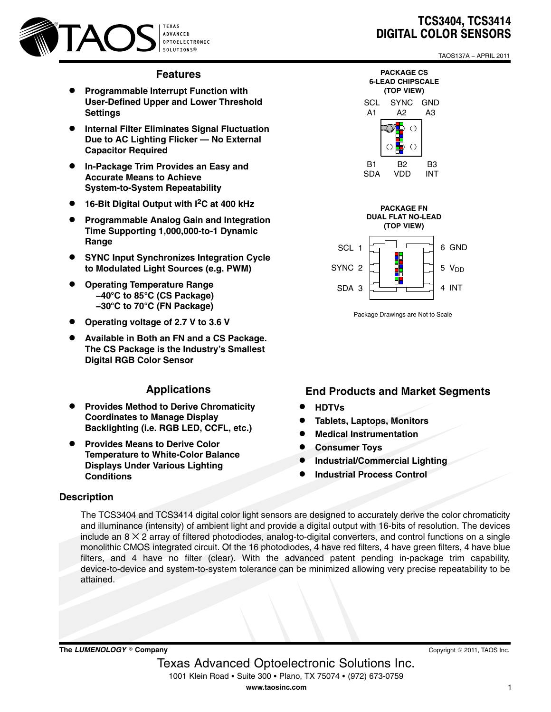

### **Features**

- $\bullet$  **Programmable Interrupt Function with User-Defined Upper and Lower Threshold Settings**
- $\bullet$  **Internal Filter Eliminates Signal Fluctuation Due to AC Lighting Flicker — No External Capacitor Required**
- $\bullet$  **In-Package Trim Provides an Easy and Accurate Means to Achieve System-to-System Repeatability**
- **16-Bit Digital Output with I2C at 400 kHz**
- $\bullet$  **Programmable Analog Gain and Integration Time Supporting 1,000,000-to-1 Dynamic Range**
- **SYNC Input Synchronizes Integration Cycle to Modulated Light Sources (e.g. PWM)**
- $\bullet$  **Operating Temperature Range −40**-**C to 85**-**C (CS Package) −30**-**C to 70**-**C (FN Package)**
- $\bullet$ **Operating voltage of 2.7 V to 3.6 V**
- $\bullet$  **Available in Both an FN and a CS Package. The CS Package is the Industry's Smallest Digital RGB Color Sensor**

## **Applications**

- $\bullet$  **Provides Method to Derive Chromaticity Coordinates to Manage Display Backlighting (i.e. RGB LED, CCFL, etc.)**
- $\bullet$  **Provides Means to Derive Color Temperature to White-Color Balance Displays Under Various Lighting Conditions**

# TCS3404, TCS3414 DIGITAL COLOR SENSORS

TAOS137A − APRIL 2011





Package Drawings are Not to Scale

### **End Products and Market Segments**

- $\bullet$ **HDTVs**
- $\bullet$ **Tablets, Laptops, Monitors**
- $\bullet$ **Medical Instrumentation**
- $\bullet$ **Consumer Toys**
- $\bullet$ **Industrial/Commercial Lighting**
- $\bullet$ **Industrial Process Control**

# **Description**

The TCS3404 and TCS3414 digital color light sensors are designed to accurately derive the color chromaticity and illuminance (intensity) of ambient light and provide a digital output with 16-bits of resolution. The devices include an  $8 \times 2$  array of filtered photodiodes, analog-to-digital converters, and control functions on a single monolithic CMOS integrated circuit. Of the 16 photodiodes, 4 have red filters, 4 have green filters, 4 have blue filters, and 4 have no filter (clear). With the advanced patent pending in-package trim capability, device-to-device and system-to-system tolerance can be minimized allowing very precise repeatability to be attained.

 $\bm{\mathsf{The}\text{ }\mathsf{LUMENOLOGY}}@$  Company

Copyright © 2011, TAOS Inc.

 Texas Advanced Optoelectronic Solutions Inc. 1001 Klein Road • Suite 300 • Plano, TX 75074 • (972) 673-0759 **www.taosinc.com**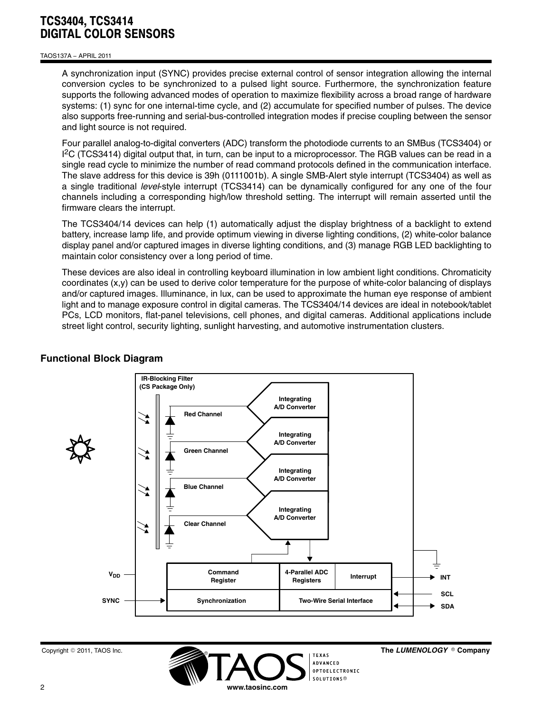#### TAOS137A − APRIL 2011

A synchronization input (SYNC) provides precise external control of sensor integration allowing the internal conversion cycles to be synchronized to a pulsed light source. Furthermore, the synchronization feature supports the following advanced modes of operation to maximize flexibility across a broad range of hardware systems: (1) sync for one internal-time cycle, and (2) accumulate for specified number of pulses. The device also supports free-running and serial-bus-controlled integration modes if precise coupling between the sensor and light source is not required.

Four parallel analog-to-digital converters (ADC) transform the photodiode currents to an SMBus (TCS3404) or <sup>12</sup>C (TCS3414) digital output that, in turn, can be input to a microprocessor. The RGB values can be read in a single read cycle to minimize the number of read command protocols defined in the communication interface. The slave address for this device is 39h (0111001b). A single SMB-Alert style interrupt (TCS3404) as well as a single traditional *level*-style interrupt (TCS3414) can be dynamically configured for any one of the four channels including a corresponding high/low threshold setting. The interrupt will remain asserted until the firmware clears the interrupt.

The TCS3404/14 devices can help (1) automatically adjust the display brightness of a backlight to extend battery, increase lamp life, and provide optimum viewing in diverse lighting conditions, (2) white-color balance display panel and/or captured images in diverse lighting conditions, and (3) manage RGB LED backlighting to maintain color consistency over a long period of time.

These devices are also ideal in controlling keyboard illumination in low ambient light conditions. Chromaticity coordinates (x,y) can be used to derive color temperature for the purpose of white-color balancing of displays and/or captured images. Illuminance, in lux, can be used to approximate the human eye response of ambient light and to manage exposure control in digital cameras. The TCS3404/14 devices are ideal in notebook/tablet PCs, LCD monitors, flat-panel televisions, cell phones, and digital cameras. Additional applications include street light control, security lighting, sunlight harvesting, and automotive instrumentation clusters.



### **Functional Block Diagram**



The LUMENOLOGY ® Company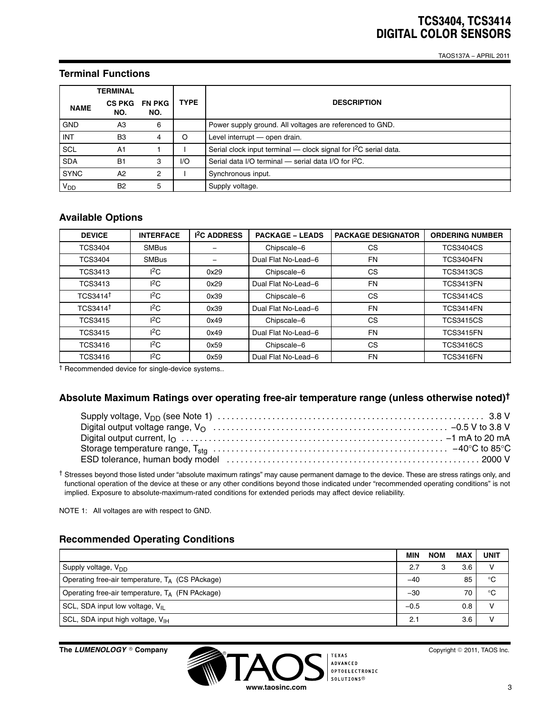TAOS137A − APRIL 2011

## **Terminal Functions**

|             | TERMINAL             |                      |             |                                                                    |  |  |  |
|-------------|----------------------|----------------------|-------------|--------------------------------------------------------------------|--|--|--|
| <b>NAME</b> | <b>CS PKG</b><br>NO. | <b>FN PKG</b><br>NO. | <b>TYPE</b> | <b>DESCRIPTION</b>                                                 |  |  |  |
| <b>GND</b>  | A3                   | 6                    |             | Power supply ground. All voltages are referenced to GND.           |  |  |  |
| <b>INT</b>  | B <sub>3</sub>       | 4                    | O           | Level interrupt - open drain.                                      |  |  |  |
| SCL         | A <sub>1</sub>       |                      |             | Serial clock input terminal - clock signal for $l^2C$ serial data. |  |  |  |
| <b>SDA</b>  | <b>B1</b>            | 3                    | 1/O         | Serial data I/O terminal - serial data I/O for $I^2C$ .            |  |  |  |
| <b>SYNC</b> | A2                   | 2                    |             | Synchronous input.                                                 |  |  |  |
| $V_{DD}$    | B <sub>2</sub>       | 5                    |             | Supply voltage.                                                    |  |  |  |

## **Available Options**

| <b>DEVICE</b>        | <b>INTERFACE</b> | <b>1<sup>2</sup>C ADDRESS</b> | <b>PACKAGE - LEADS</b> | <b>PACKAGE DESIGNATOR</b> | <b>ORDERING NUMBER</b> |
|----------------------|------------------|-------------------------------|------------------------|---------------------------|------------------------|
| <b>TCS3404</b>       | <b>SMBus</b>     |                               | Chipscale-6            | CS                        | <b>TCS3404CS</b>       |
| <b>TCS3404</b>       | <b>SMBus</b>     |                               | Dual Flat No-Lead-6    | <b>FN</b>                 | <b>TCS3404FN</b>       |
| <b>TCS3413</b>       | ${}^{12}$ C      | 0x29                          | Chipscale-6            | <b>CS</b>                 | <b>TCS3413CS</b>       |
| <b>TCS3413</b>       | ${}^{12}C$       | 0x29                          | Dual Flat No-Lead-6    | <b>FN</b>                 | <b>TCS3413FN</b>       |
| TCS3414 <sup>+</sup> | ${}^{12}$ C      | 0x39                          | Chipscale-6            | CS                        | <b>TCS3414CS</b>       |
| TCS3414 <sup>t</sup> | ${}^{12}$ C      | 0x39                          | Dual Flat No-Lead-6    | <b>FN</b>                 | <b>TCS3414FN</b>       |
| <b>TCS3415</b>       | ${}^{12}$ C      | 0x49                          | Chipscale-6            | CS                        | <b>TCS3415CS</b>       |
| <b>TCS3415</b>       | ${}^{12}$ C      | 0x49                          | Dual Flat No-Lead-6    | <b>FN</b>                 | <b>TCS3415FN</b>       |
| <b>TCS3416</b>       | ${}^{12}$ C      | 0x59                          | Chipscale-6            | CS                        | <b>TCS3416CS</b>       |
| <b>TCS3416</b>       | ${}^{12}$ C      | 0x59                          | Dual Flat No-Lead-6    | <b>FN</b>                 | <b>TCS3416FN</b>       |

† Recommended device for single-device systems..

### **Absolute Maximum Ratings over operating free-air temperature range (unless otherwise noted)†**

† Stresses beyond those listed under "absolute maximum ratings" may cause permanent damage to the device. These are stress ratings only, and functional operation of the device at these or any other conditions beyond those indicated under "recommended operating conditions" is not implied. Exposure to absolute-maximum-rated conditions for extended periods may affect device reliability.

NOTE 1: All voltages are with respect to GND.

## **Recommended Operating Conditions**

|                                                    | MIN    | <b>NOM</b> | <b>MAX</b> | <b>UNIT</b> |
|----------------------------------------------------|--------|------------|------------|-------------|
| Supply voltage, V <sub>DD</sub>                    | 2.7    |            | 3.6        |             |
| Operating free-air temperature, $T_A$ (CS PAckage) | -40    |            | 85         | $^{\circ}C$ |
| Operating free-air temperature, $T_A$ (FN PAckage) | $-30$  |            | 70         | °C          |
| SCL, SDA input low voltage, $V_{II}$               | $-0.5$ |            | 0.8        |             |
| SCL, SDA input high voltage, V <sub>IH</sub>       | 2.1    |            | 3.6        |             |

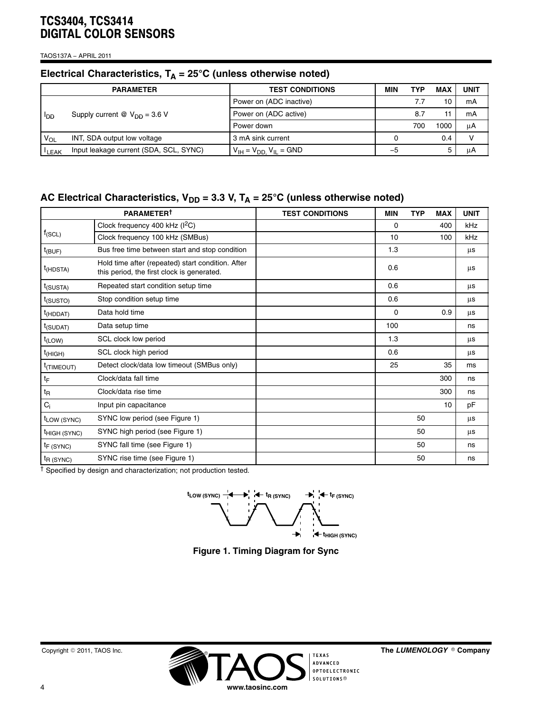TAOS137A − APRIL 2011

# Electrical Characteristics, T<sub>A</sub> = 25°C (unless otherwise noted)

|      | <b>PARAMETER</b>                                         | <b>TEST CONDITIONS</b>             | MIN  | TYP | <b>MAX</b> | UNIT |
|------|----------------------------------------------------------|------------------------------------|------|-----|------------|------|
|      |                                                          | Power on (ADC inactive)            |      |     | 10         | mA   |
| lpp  | Supply current $\textcircled{a}$ V <sub>DD</sub> = 3.6 V | Power on (ADC active)              |      | 8.7 |            | mA   |
|      |                                                          | Power down                         |      | 700 | 1000       | μA   |
| VOL  | INT, SDA output low voltage                              | 3 mA sink current                  |      |     | 0.4        |      |
| LEAK | Input leakage current (SDA, SCL, SYNC)                   | $V_{IH} = V_{DD}$ , $V_{IL} = GND$ | $-5$ |     | 5          | μA   |

# AC Electrical Characteristics, V<sub>DD</sub> = 3.3 V, T<sub>A</sub> = 25°C (unless otherwise noted)

|                          | <b>PARAMETERT</b>                                                                               | <b>TEST CONDITIONS</b> | <b>MIN</b> | <b>TYP</b> | <b>MAX</b> | <b>UNIT</b> |
|--------------------------|-------------------------------------------------------------------------------------------------|------------------------|------------|------------|------------|-------------|
|                          | Clock frequency 400 kHz (I <sup>2</sup> C)                                                      |                        | 0          |            | 400        | kHz         |
| $f_{(SCL)}$              | Clock frequency 100 kHz (SMBus)                                                                 |                        | 10         |            | 100        | kHz         |
| $t_{(BUF)}$              | Bus free time between start and stop condition                                                  |                        | 1.3        |            |            | μs          |
| $t$ (HDSTA)              | Hold time after (repeated) start condition. After<br>this period, the first clock is generated. |                        | 0.6        |            |            | μs          |
| $t$ (SUSTA)              | Repeated start condition setup time                                                             |                        | 0.6        |            |            | μs          |
| $t$ (SUSTO)              | Stop condition setup time                                                                       |                        | 0.6        |            |            | μs          |
| $t$ (HDDAT)              | Data hold time                                                                                  |                        | 0          |            | 0.9        | μs          |
| $t_{(SUDAT)}$            | Data setup time                                                                                 |                        | 100        |            |            | ns          |
| $t_{(LOW)}$              | SCL clock low period                                                                            |                        | 1.3        |            |            | μs          |
| $t$ (HIGH)               | SCL clock high period                                                                           |                        | 0.6        |            |            | μs          |
| <sup>t</sup> (TIMEOUT)   | Detect clock/data low timeout (SMBus only)                                                      |                        | 25         |            | 35         | ms          |
| tF                       | Clock/data fall time                                                                            |                        |            |            | 300        | ns          |
| t <sub>R</sub>           | Clock/data rise time                                                                            |                        |            |            | 300        | ns          |
| $C_i$                    | Input pin capacitance                                                                           |                        |            |            | 10         | pF          |
| t <sub>LOW</sub> (SYNC)  | SYNC low period (see Figure 1)                                                                  |                        |            | 50         |            | μs          |
| <sup>t</sup> HIGH (SYNC) | SYNC high period (see Figure 1)                                                                 |                        |            | 50         |            | μs          |
| $t_F$ (SYNC)             | SYNC fall time (see Figure 1)                                                                   |                        |            | 50         |            | ns          |
| $t_{R(SYNC)}$            | SYNC rise time (see Figure 1)                                                                   |                        |            | 50         |            | ns          |

† Specified by design and characterization; not production tested.

 $t_{LOW(SYNC)}$   $\rightarrow$  **+ +**  $\rightarrow$  **+**  $t_{F(SYNC)}$   $\rightarrow$  **+**  $t_{F(SYNC)}$  $\overrightarrow{ }$  $\star$ **t**<sub>HIGH</sub> (SYNC)

**Figure 1. Timing Diagram for Sync**



 $^{\circ}$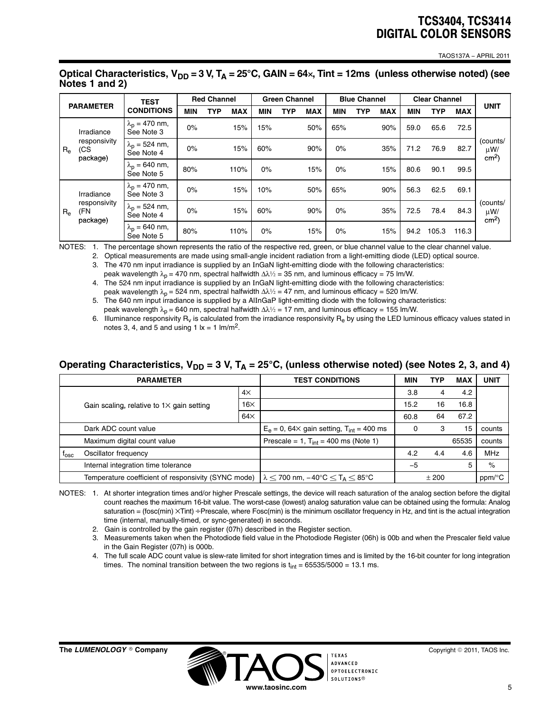TAOS137A − APRIL 2011

|                                |                                 | <b>TEST</b>                                      | <b>Red Channel</b> |     | <b>Green Channel</b> |     | <b>Blue Channel</b> |            | <b>Clear Channel</b> |     |            |      |            |            |                                         |  |
|--------------------------------|---------------------------------|--------------------------------------------------|--------------------|-----|----------------------|-----|---------------------|------------|----------------------|-----|------------|------|------------|------------|-----------------------------------------|--|
| <b>PARAMETER</b>               |                                 | <b>CONDITIONS</b>                                | <b>MIN</b>         | TYP | <b>MAX</b>           | MIN | TYP                 | <b>MAX</b> | MIN                  | TYP | <b>MAX</b> | MIN  | <b>TYP</b> | <b>MAX</b> | <b>UNIT</b>                             |  |
| (CS<br>$R_{\rm e}$<br>package) | Irradiance                      | $\lambda_n = 470$ nm,<br>See Note 3              | 0%                 |     | 15%                  | 15% |                     | 50%        | 65%                  |     | 90%        | 59.0 | 65.6       | 72.5       |                                         |  |
|                                | responsivity                    | $\lambda_{\rm D} = 524 \, \rm nm,$<br>See Note 4 | $0\%$              |     | 15%                  | 60% |                     | 90%        | 0%                   |     | 35%        | 71.2 | 76.9       | 82.7       | (counts/<br>$\mu$ W/<br>$\text{cm}^2$ ) |  |
|                                |                                 | $\lambda_{\rm p}$ = 640 nm,<br>See Note 5        | 80%                |     | 110%                 | 0%  |                     | 15%        | 0%                   |     | 15%        | 80.6 | 90.1       | 99.5       |                                         |  |
|                                | Irradiance                      | $\lambda_{\rm p}$ = 470 nm,<br>See Note 3        | 0%                 |     | 15%                  | 10% |                     | 50%        | 65%                  |     | 90%        | 56.3 | 62.5       | 69.1       |                                         |  |
| $R_{e}$                        | responsivity<br>(FN<br>package) | $\lambda_p = 524$ nm,<br>See Note 4              | 0%                 |     | 15%                  | 60% |                     | 90%        | 0%                   |     | 35%        | 72.5 | 78.4       | 84.3       | (counts/<br>$\mu$ W/<br>$cm2$ )         |  |
|                                |                                 | $\lambda_p = 640$ nm,<br>See Note 5              | 80%                |     | 110%                 | 0%  |                     | 15%        | 0%                   |     | 15%        | 94.2 | 105.3      | 116.3      |                                         |  |

#### Optical Characteristics, V<sub>DD</sub> = 3 V, T<sub>A</sub> = 25°C, GAIN = 64×, Tint = 12ms (unless otherwise noted) (see **Notes 1 and 2)**

NOTES: 1. The percentage shown represents the ratio of the respective red, green, or blue channel value to the clear channel value.

2. Optical measurements are made using small-angle incident radiation from a light-emitting diode (LED) optical source.

3. The 470 nm input irradiance is supplied by an InGaN light-emitting diode with the following characteristics: peak wavelength  $\lambda_p = 470$  nm, spectral halfwidth  $\Delta\lambda/2 = 35$  nm, and luminous efficacy = 75 lm/W.

4. The 524 nm input irradiance is supplied by an InGaN light-emitting diode with the following characteristics: peak wavelength  $\lambda_p = 524$  nm, spectral halfwidth  $\Delta\lambda/2 = 47$  nm, and luminous efficacy = 520 lm/W.

5. The 640 nm input irradiance is supplied by a AlInGaP light-emitting diode with the following characteristics:

peak wavelength  $\lambda_p = 640$  nm, spectral halfwidth  $\Delta\lambda/2 = 17$  nm, and luminous efficacy = 155 lm/W.

6. Illuminance responsivity R<sub>v</sub> is calculated from the irradiance responsivity R<sub>e</sub> by using the LED luminous efficacy values stated in notes 3, 4, and 5 and using 1  $x = 1$  lm/m<sup>2</sup>.

# Operating Characteristics, V<sub>DD</sub> = 3 V, T<sub>A</sub> = 25°C, (unless otherwise noted) (see Notes 2, 3, and 4)

|               | <b>PARAMETER</b>                                                                                                                   |                                                        | <b>TEST CONDITIONS</b>                    | <b>MIN</b> | TYP  | <b>MAX</b> | <b>UNIT</b> |
|---------------|------------------------------------------------------------------------------------------------------------------------------------|--------------------------------------------------------|-------------------------------------------|------------|------|------------|-------------|
|               |                                                                                                                                    | $4\times$                                              |                                           | 3.8        |      | 4.2        |             |
|               | Gain scaling, relative to $1\times$ gain setting                                                                                   | $16\times$                                             |                                           | 15.2       | 16   | 16.8       |             |
|               |                                                                                                                                    | $64\times$                                             |                                           | 60.8       | 64   | 67.2       |             |
|               | Dark ADC count value                                                                                                               | $Eo = 0$ , 64× gain setting, T <sub>int</sub> = 400 ms |                                           | з          | 15   | counts     |             |
|               | Maximum digital count value                                                                                                        |                                                        | Prescale = 1, $T_{int}$ = 400 ms (Note 1) |            |      | 65535      | counts      |
| $t_{\rm osc}$ | Oscillator frequency                                                                                                               |                                                        |                                           | 4.2        | 4.4  | 4.6        | <b>MHz</b>  |
|               | Internal integration time tolerance                                                                                                |                                                        |                                           | $-5$       |      | 5          | $\%$        |
|               | Temperature coefficient of responsivity (SYNC mode)   $\lambda$ $<$ 700 nm, $-40^{\circ}$ C $<$ T <sub>A</sub> $<$ 85 $^{\circ}$ C |                                                        |                                           |            | ±200 |            | ppm/°C      |

NOTES: 1. At shorter integration times and/or higher Prescale settings, the device will reach saturation of the analog section before the digital count reaches the maximum 16-bit value. The worst-case (lowest) analog saturation value can be obtained using the formula: Analog saturation = (fosc(min)  $\times$ Tint) ÷Prescale, where Fosc(min) is the minimum oscillator frequency in Hz, and tint is the actual integration time (internal, manually-timed, or sync-generated) in seconds.

2. Gain is controlled by the gain register (07h) described in the Register section.

3. Measurements taken when the Photodiode field value in the Photodiode Register (06h) is 00b and when the Prescaler field value in the Gain Register (07h) is 000b.

4. The full scale ADC count value is slew-rate limited for short integration times and is limited by the 16-bit counter for long integration times. The nominal transition between the two regions is  $t_{int} = 65535/5000 = 13.1$  ms.

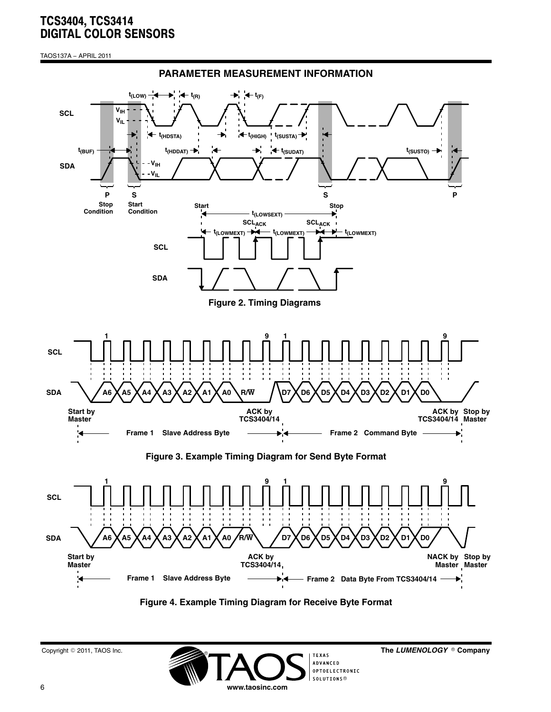TAOS137A − APRIL 2011



#### **Figure 4. Example Timing Diagram for Receive Byte Format**

 $^{\circ}$ 



The LUMENOLOGY ® Company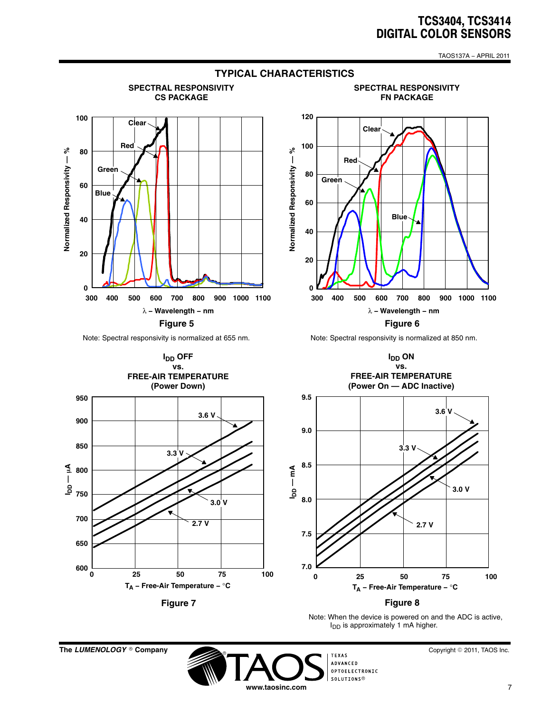TAOS137A − APRIL 2011



**The LUMENOLOGY** © Company

Copyright © 2011, TAOS Inc.

**TEXAS**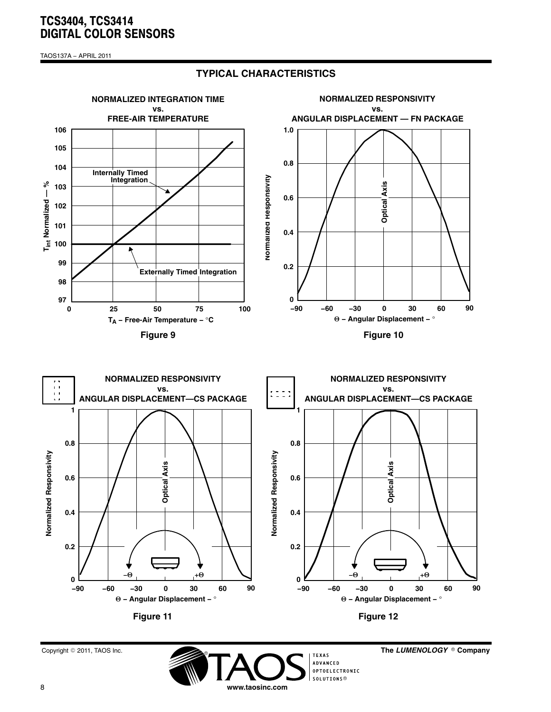TAOS137A − APRIL 2011



**TYPICAL CHARACTERISTICS**



The LUMENOLOGY ® Company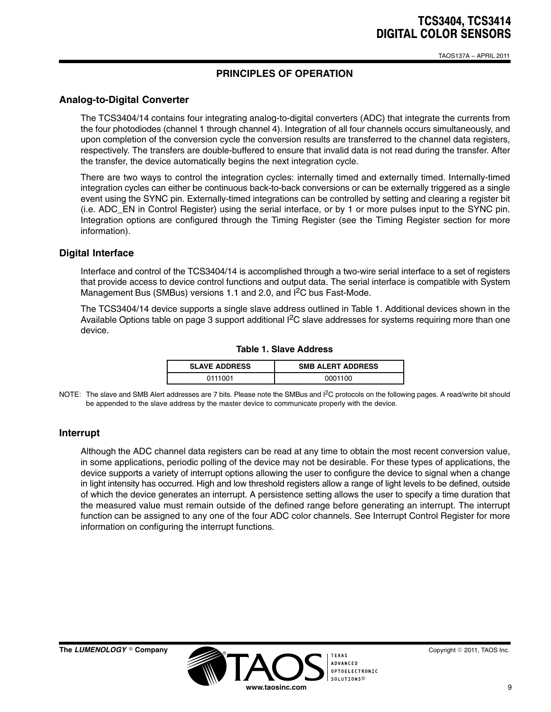TAOS137A − APRIL 2011

## **PRINCIPLES OF OPERATION**

### <span id="page-8-0"></span>**Analog-to-Digital Converter**

The TCS3404/14 contains four integrating analog-to-digital converters (ADC) that integrate the currents from the four photodiodes (channel 1 through channel 4). Integration of all four channels occurs simultaneously, and upon completion of the conversion cycle the conversion results are transferred to the channel data registers, respectively. The transfers are double-buffered to ensure that invalid data is not read during the transfer. After the transfer, the device automatically begins the next integration cycle.

There are two ways to control the integration cycles: internally timed and externally timed. Internally-timed integration cycles can either be continuous back-to-back conversions or can be externally triggered as a single event using the SYNC pin. Externally-timed integrations can be controlled by setting and clearing a register bit (i.e. ADC\_EN in Control Register) using the serial interface, or by 1 or more pulses input to the SYNC pin. Integration options are configured through the Timing Register (see the Timing Register section for more information).

### **Digital Interface**

Interface and control of the TCS3404/14 is accomplished through a two-wire serial interface to a set of registers that provide access to device control functions and output data. The serial interface is compatible with System Management Bus (SMBus) versions 1.1 and 2.0, and  ${}^{12}C$  bus Fast-Mode.

The TCS3404/14 device supports a single slave address outlined in Table 1. Additional devices shown in the Available Options table on page 3 support additional I<sup>2</sup>C slave addresses for systems requiring more than one device.

| <b>SLAVE ADDRESS</b> | <b>SMB ALERT ADDRESS</b> |
|----------------------|--------------------------|
| 0111001              | 0001100                  |

#### **Table 1. Slave Address**

NOTE: The slave and SMB Alert addresses are 7 bits. Please note the SMBus and I<sup>2</sup>C protocols on the following pages. A read/write bit should be appended to the slave address by the master device to communicate properly with the device.

### **Interrupt**

Although the ADC channel data registers can be read at any time to obtain the most recent conversion value, in some applications, periodic polling of the device may not be desirable. For these types of applications, the device supports a variety of interrupt options allowing the user to configure the device to signal when a change in light intensity has occurred. High and low threshold registers allow a range of light levels to be defined, outside of which the device generates an interrupt. A persistence setting allows the user to specify a time duration that the measured value must remain outside of the defined range before generating an interrupt. The interrupt function can be assigned to any one of the four ADC color channels. See Interrupt Control Register for more information on configuring the interrupt functions.

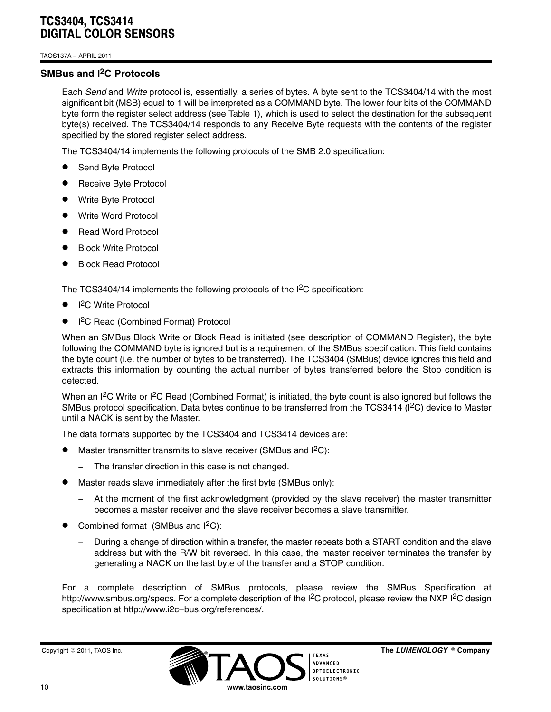TAOS137A − APRIL 2011

## **SMBus and I2C Protocols**

Each *Send* and *Write* protocol is, essentially, a series of bytes. A byte sent to the TCS3404/14 with the most significant bit (MSB) equal to 1 will be interpreted as a COMMAND byte. The lower four bits of the COMMAND byte form the register select address (see [Table 1](#page-8-0)), which is used to select the destination for the subsequent byte(s) received. The TCS3404/14 responds to any Receive Byte requests with the contents of the register specified by the stored register select address.

The TCS3404/14 implements the following protocols of the SMB 2.0 specification:

- $\bullet$ Send Byte Protocol
- $\bullet$ Receive Byte Protocol
- $\bullet$ Write Byte Protocol
- $\bullet$ Write Word Protocol
- $\bullet$ Read Word Protocol
- $\bullet$ Block Write Protocol
- $\bullet$ Block Read Protocol

The TCS3404/14 implements the following protocols of the  ${}^{12}C$  specification:

- $\bullet$ ● I<sup>2</sup>C Write Protocol
- $\bullet$ ● I<sup>2</sup>C Read (Combined Format) Protocol

When an SMBus Block Write or Block Read is initiated (see description of COMMAND Register), the byte following the COMMAND byte is ignored but is a requirement of the SMBus specification. This field contains the byte count (i.e. the number of bytes to be transferred). The TCS3404 (SMBus) device ignores this field and extracts this information by counting the actual number of bytes transferred before the Stop condition is detected.

When an I<sup>2</sup>C Write or I<sup>2</sup>C Read (Combined Format) is initiated, the byte count is also ignored but follows the SMBus protocol specification. Data bytes continue to be transferred from the TCS3414 ( $\frac{1}{2}$ C) device to Master until a NACK is sent by the Master.

The data formats supported by the TCS3404 and TCS3414 devices are:

- $\bullet$ Master transmitter transmits to slave receiver (SMBus and I<sup>2</sup>C):
	- − The transfer direction in this case is not changed.
- $\bullet$  Master reads slave immediately after the first byte (SMBus only):
	- At the moment of the first acknowledgment (provided by the slave receiver) the master transmitter becomes a master receiver and the slave receiver becomes a slave transmitter.
- $\bullet$  Combined format (SMBus and I2C):
	- − During a change of direction within a transfer, the master repeats both a START condition and the slave address but with the R/W bit reversed. In this case, the master receiver terminates the transfer by generating a NACK on the last byte of the transfer and a STOP condition.

For a complete description of SMBus protocols, please review the SMBus Specification at http://www.smbus.org/specs. For a complete description of the I<sup>2</sup>C protocol, please review the NXP I<sup>2</sup>C design specification at http://www.i2c−bus.org/references/.

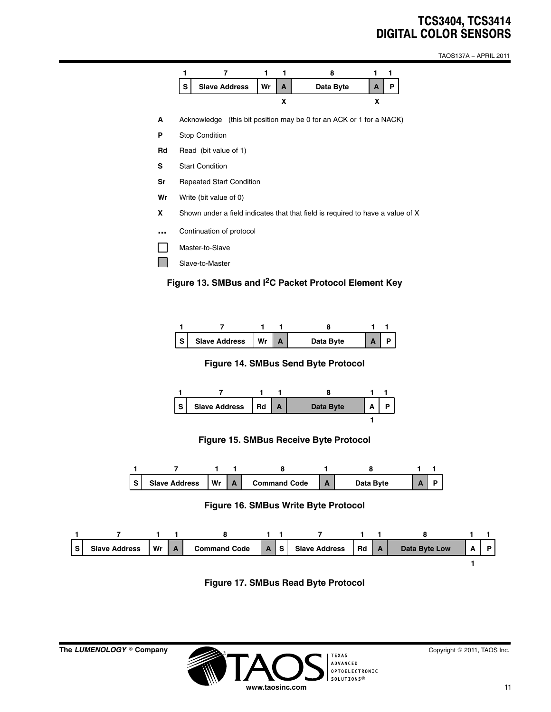TAOS137A − APRIL 2011







**Figure 14. SMBus Send Byte Protocol**



#### **Figure 15. SMBus Receive Byte Protocol**



#### **Figure 16. SMBus Write Byte Protocol**



**Figure 17. SMBus Read Byte Protocol**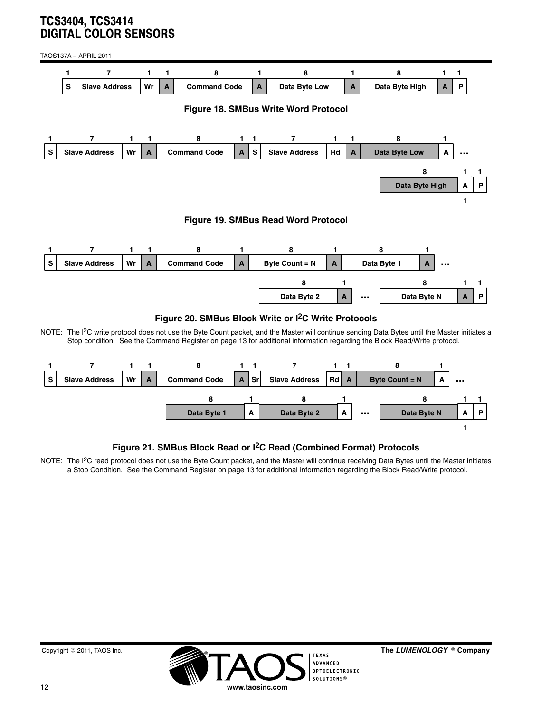<span id="page-11-0"></span>TAOS137A − APRIL 2011



NOTE: The I<sup>2</sup>C write protocol does not use the Byte Count packet, and the Master will continue sending Data Bytes until the Master initiates a Stop condition. See the Command Register on page 13 for additional information regarding the Block Read/Write protocol.



## **Figure 21. SMBus Block Read or I2C Read (Combined Format) Protocols**

NOTE: The I<sup>2</sup>C read protocol does not use the Byte Count packet, and the Master will continue receiving Data Bytes until the Master initiates a Stop Condition. See the Command Register on page 13 for additional information regarding the Block Read/Write protocol.



The LUMENOLOGY <sup>®</sup> Company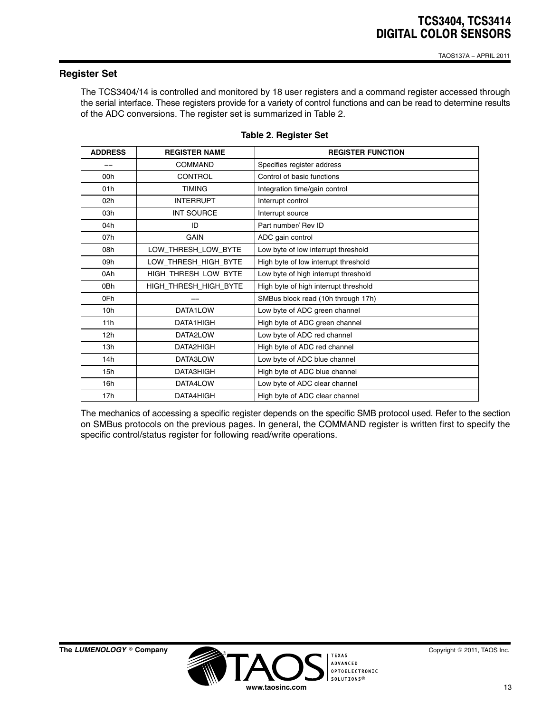#### <span id="page-12-0"></span>**Register Set**

The TCS3404/14 is controlled and monitored by 18 user registers and a command register accessed through the serial interface. These registers provide for a variety of control functions and can be read to determine results of the ADC conversions. The register set is summarized in Table 2.

| <b>ADDRESS</b>  | <b>REGISTER NAME</b>  | <b>REGISTER FUNCTION</b>              |
|-----------------|-----------------------|---------------------------------------|
|                 | <b>COMMAND</b>        | Specifies register address            |
| 00h             | CONTROL               | Control of basic functions            |
| 01h             | <b>TIMING</b>         | Integration time/gain control         |
| 02h             | <b>INTERRUPT</b>      | Interrupt control                     |
| 03h             | <b>INT SOURCE</b>     | Interrupt source                      |
| 04h             | ID                    | Part number/ Rev ID                   |
| 07h             | <b>GAIN</b>           | ADC gain control                      |
| 08h             | LOW_THRESH_LOW_BYTE   | Low byte of low interrupt threshold   |
| 09h             | LOW THRESH HIGH BYTE  | High byte of low interrupt threshold  |
| 0Ah             | HIGH_THRESH_LOW_BYTE  | Low byte of high interrupt threshold  |
| 0Bh             | HIGH_THRESH_HIGH_BYTE | High byte of high interrupt threshold |
| 0Fh             |                       | SMBus block read (10h through 17h)    |
| 10 <sub>h</sub> | DATA1LOW              | Low byte of ADC green channel         |
| 11h             | DATA1HIGH             | High byte of ADC green channel        |
| 12h             | DATA2LOW              | Low byte of ADC red channel           |
| 13h             | DATA2HIGH             | High byte of ADC red channel          |
| 14h             | DATA3LOW              | Low byte of ADC blue channel          |
| 15h             | DATA3HIGH             | High byte of ADC blue channel         |
| 16h             | DATA4LOW              | Low byte of ADC clear channel         |
| 17h             | DATA4HIGH             | High byte of ADC clear channel        |

#### **Table 2. Register Set**

The mechanics of accessing a specific register depends on the specific SMB protocol used. Refer to the section on SMBus protocols on the previous pages. In general, the COMMAND register is written first to specify the specific control/status register for following read/write operations.



-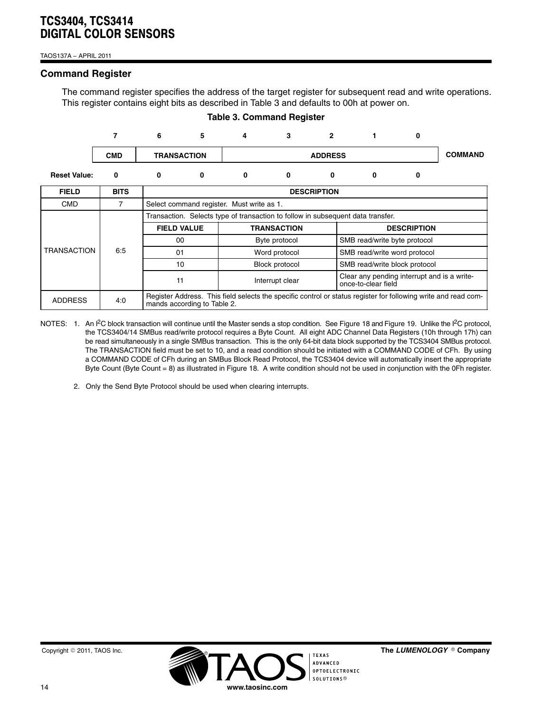TAOS137A − APRIL 2011

#### **Command Register**

The command register specifies the address of the target register for subsequent read and write operations. This register contains eight bits as described in Table 3 and defaults to 00h at power on.

**Table 3. Command Register**

|                     | 7           | 6 | 5                                                                                                                                             | 4                                         | 3               | $\overline{2}$                                                                  |                                                                    | 0                            |  |  |  |  |
|---------------------|-------------|---|-----------------------------------------------------------------------------------------------------------------------------------------------|-------------------------------------------|-----------------|---------------------------------------------------------------------------------|--------------------------------------------------------------------|------------------------------|--|--|--|--|
|                     | <b>CMD</b>  |   | <b>TRANSACTION</b>                                                                                                                            |                                           | <b>ADDRESS</b>  |                                                                                 |                                                                    |                              |  |  |  |  |
| <b>Reset Value:</b> | 0           | 0 | 0                                                                                                                                             | 0                                         | 0               | 0                                                                               | 0                                                                  | 0                            |  |  |  |  |
| <b>FIELD</b>        | <b>BITS</b> |   |                                                                                                                                               |                                           |                 | <b>DESCRIPTION</b>                                                              |                                                                    |                              |  |  |  |  |
| <b>CMD</b>          | 7           |   |                                                                                                                                               | Select command register. Must write as 1. |                 |                                                                                 |                                                                    |                              |  |  |  |  |
|                     |             |   |                                                                                                                                               |                                           |                 | Transaction. Selects type of transaction to follow in subsequent data transfer. |                                                                    |                              |  |  |  |  |
|                     |             |   | <b>FIELD VALUE</b><br><b>TRANSACTION</b>                                                                                                      |                                           |                 |                                                                                 | <b>DESCRIPTION</b>                                                 |                              |  |  |  |  |
|                     |             |   | 00                                                                                                                                            |                                           | Byte protocol   |                                                                                 |                                                                    | SMB read/write byte protocol |  |  |  |  |
| <b>TRANSACTION</b>  | 6.5         |   | 01                                                                                                                                            |                                           | Word protocol   |                                                                                 |                                                                    | SMB read/write word protocol |  |  |  |  |
|                     |             |   | 10                                                                                                                                            |                                           | Block protocol  |                                                                                 | SMB read/write block protocol                                      |                              |  |  |  |  |
|                     |             |   | 11                                                                                                                                            |                                           | Interrupt clear |                                                                                 | Clear any pending interrupt and is a write-<br>once-to-clear field |                              |  |  |  |  |
| <b>ADDRESS</b>      | 4:0         |   | Register Address. This field selects the specific control or status register for following write and read com-<br>mands according to Table 2. |                                           |                 |                                                                                 |                                                                    |                              |  |  |  |  |

- NOTES: 1. An I<sup>2</sup>C block transaction will continue until the Master sends a stop condition. See [Figure 18](#page-11-0) and [Figure 19](#page-11-0). Unlike the I<sup>2</sup>C protocol, the TCS3404/14 SMBus read/write protocol requires a Byte Count. All eight ADC Channel Data Registers (10h through 17h) can be read simultaneously in a single SMBus transaction. This is the only 64-bit data block supported by the TCS3404 SMBus protocol. The TRANSACTION field must be set to 10, and a read condition should be initiated with a COMMAND CODE of CFh. By using a COMMAND CODE of CFh during an SMBus Block Read Protocol, the TCS3404 device will automatically insert the appropriate Byte Count (Byte Count = 8) as illustrated in [Figure 18.](#page-11-0) A write condition should not be used in conjunction with the 0Fh register.
	- 2. Only the Send Byte Protocol should be used when clearing interrupts.



The LUMENOLOGY <sup>®</sup> Company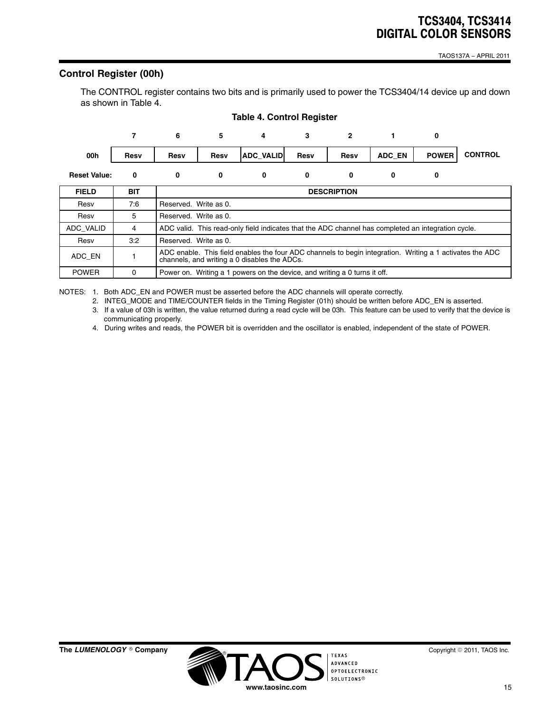TAOS137A − APRIL 2011

## **Control Register (00h)**

The CONTROL register contains two bits and is primarily used to power the TCS3404/14 device up and down as shown in Table 4.



#### **Table 4. Control Register**

NOTES: 1. Both ADC\_EN and POWER must be asserted before the ADC channels will operate correctly.

2. INTEG\_MODE and TIME/COUNTER fields in the Timing Register (01h) should be written before ADC\_EN is asserted.

3. If a value of 03h is written, the value returned during a read cycle will be 03h. This feature can be used to verify that the device is communicating properly.

4. During writes and reads, the POWER bit is overridden and the oscillator is enabled, independent of the state of POWER.

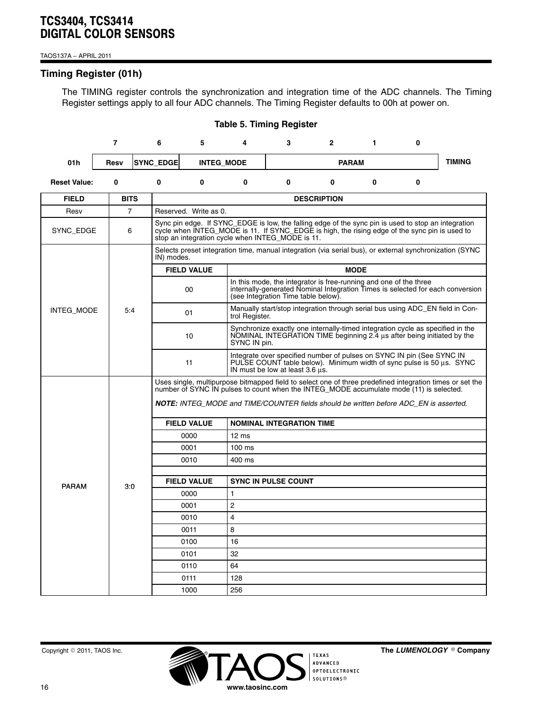TAOS137A − APRIL 2011

## **Timing Register (01h)**

The TIMING register controls the synchronization and integration time of the ADC channels. The Timing Register settings apply to all four ADC channels. The Timing Register defaults to 00h at power on.

|                     |              |                |                                 |                                                                                                                       | ועטוע פווווווואַ ווע            |                                                                                                                                                                                                                                                          |                                                                                                                                                                                  |             |          |                                                                                                          |  |  |  |
|---------------------|--------------|----------------|---------------------------------|-----------------------------------------------------------------------------------------------------------------------|---------------------------------|----------------------------------------------------------------------------------------------------------------------------------------------------------------------------------------------------------------------------------------------------------|----------------------------------------------------------------------------------------------------------------------------------------------------------------------------------|-------------|----------|----------------------------------------------------------------------------------------------------------|--|--|--|
|                     | 7            |                | 6                               | 5                                                                                                                     | 4                               | 3                                                                                                                                                                                                                                                        | $\mathbf{2}$                                                                                                                                                                     | 1           | 0        |                                                                                                          |  |  |  |
| 01h                 | Resv         |                | <b>SYNC_EDGE</b>                |                                                                                                                       | <b>INTEG_MODE</b>               |                                                                                                                                                                                                                                                          | <b>PARAM</b>                                                                                                                                                                     |             |          | <b>TIMING</b>                                                                                            |  |  |  |
| <b>Reset Value:</b> | $\mathbf{0}$ |                | $\bf{0}$                        | $\bf{0}$                                                                                                              | $\bf{0}$                        | $\mathbf{0}$                                                                                                                                                                                                                                             | $\bf{0}$                                                                                                                                                                         | $\bf{0}$    | $\bf{0}$ |                                                                                                          |  |  |  |
| <b>FIELD</b>        |              | <b>BITS</b>    |                                 |                                                                                                                       |                                 |                                                                                                                                                                                                                                                          | <b>DESCRIPTION</b>                                                                                                                                                               |             |          |                                                                                                          |  |  |  |
| Resv                |              | $\overline{7}$ |                                 | Reserved. Write as 0.                                                                                                 |                                 |                                                                                                                                                                                                                                                          |                                                                                                                                                                                  |             |          |                                                                                                          |  |  |  |
| SYNC_EDGE<br>6      |              |                |                                 |                                                                                                                       |                                 | Sync pin edge. If SYNC_EDGE is low, the falling edge of the sync pin is used to stop an integration<br>cycle when INTEG_MODE is 11. If SYNC_EDGE is high, the rising edge of the sync pin is used to<br>stop an integration cycle when INTEG_MODE is 11. |                                                                                                                                                                                  |             |          |                                                                                                          |  |  |  |
|                     |              |                |                                 | Selects preset integration time, manual integration (via serial bus), or external synchronization (SYNC<br>IN) modes. |                                 |                                                                                                                                                                                                                                                          |                                                                                                                                                                                  |             |          |                                                                                                          |  |  |  |
|                     |              |                |                                 | <b>FIELD VALUE</b>                                                                                                    |                                 |                                                                                                                                                                                                                                                          |                                                                                                                                                                                  | <b>MODE</b> |          |                                                                                                          |  |  |  |
|                     |              |                |                                 | 00                                                                                                                    |                                 | (see Integration Time table below).                                                                                                                                                                                                                      | In this mode, the integrator is free-running and one of the three<br>internally-generated Nominal Integration Times is selected for each conversion                              |             |          |                                                                                                          |  |  |  |
| INTEG MODE          |              | 5:4            |                                 | 01                                                                                                                    | trol Register.                  |                                                                                                                                                                                                                                                          | Manually start/stop integration through serial bus using ADC_EN field in Con-                                                                                                    |             |          |                                                                                                          |  |  |  |
|                     |              |                |                                 | 10                                                                                                                    |                                 | Synchronize exactly one internally-timed integration cycle as specified in the<br>NOMINAL INTEGRATION TIME beginning 2.4 us after being initiated by the<br>SYNC IN pin.                                                                                 |                                                                                                                                                                                  |             |          |                                                                                                          |  |  |  |
|                     |              |                |                                 | 11                                                                                                                    |                                 | Integrate over specified number of pulses on SYNC IN pin (See SYNC IN<br>PULSE COUNT table below). Minimum width of sync pulse is 50 µs. SYNC<br>IN must be low at least 3.6 us.                                                                         |                                                                                                                                                                                  |             |          |                                                                                                          |  |  |  |
|                     |              |                |                                 |                                                                                                                       |                                 |                                                                                                                                                                                                                                                          | number of SYNC IN pulses to count when the INTEG MODE accumulate mode (11) is selected.<br>NOTE: INTEG MODE and TIME/COUNTER fields should be written before ADC EN is asserted. |             |          | Uses single, multipurpose bitmapped field to select one of three predefined integration times or set the |  |  |  |
|                     |              |                |                                 | <b>FIELD VALUE</b>                                                                                                    | <b>NOMINAL INTEGRATION TIME</b> |                                                                                                                                                                                                                                                          |                                                                                                                                                                                  |             |          |                                                                                                          |  |  |  |
|                     |              |                |                                 | 0000                                                                                                                  | $12 \text{ ms}$                 |                                                                                                                                                                                                                                                          |                                                                                                                                                                                  |             |          |                                                                                                          |  |  |  |
|                     |              |                |                                 | 0001                                                                                                                  | $100$ ms                        |                                                                                                                                                                                                                                                          |                                                                                                                                                                                  |             |          |                                                                                                          |  |  |  |
|                     |              |                |                                 | 0010                                                                                                                  | 400 ms                          |                                                                                                                                                                                                                                                          |                                                                                                                                                                                  |             |          |                                                                                                          |  |  |  |
|                     |              |                |                                 |                                                                                                                       |                                 |                                                                                                                                                                                                                                                          |                                                                                                                                                                                  |             |          |                                                                                                          |  |  |  |
| <b>PARAM</b>        |              | 3:0            |                                 | <b>FIELD VALUE</b>                                                                                                    |                                 | <b>SYNC IN PULSE COUNT</b>                                                                                                                                                                                                                               |                                                                                                                                                                                  |             |          |                                                                                                          |  |  |  |
|                     |              |                |                                 | 0000                                                                                                                  | $\mathbf{1}$                    |                                                                                                                                                                                                                                                          |                                                                                                                                                                                  |             |          |                                                                                                          |  |  |  |
|                     |              |                |                                 | 0001                                                                                                                  | $\overline{2}$                  |                                                                                                                                                                                                                                                          |                                                                                                                                                                                  |             |          |                                                                                                          |  |  |  |
|                     |              |                | $\overline{\mathbf{4}}$<br>0010 |                                                                                                                       |                                 |                                                                                                                                                                                                                                                          |                                                                                                                                                                                  |             |          |                                                                                                          |  |  |  |
|                     |              |                |                                 | 0011                                                                                                                  | 8                               |                                                                                                                                                                                                                                                          |                                                                                                                                                                                  |             |          |                                                                                                          |  |  |  |
|                     |              |                |                                 | 0100<br>0101                                                                                                          | 16                              |                                                                                                                                                                                                                                                          |                                                                                                                                                                                  |             |          |                                                                                                          |  |  |  |
|                     |              |                |                                 | 0110                                                                                                                  | 32<br>64                        |                                                                                                                                                                                                                                                          |                                                                                                                                                                                  |             |          |                                                                                                          |  |  |  |
|                     |              |                |                                 | 0111                                                                                                                  | 128                             |                                                                                                                                                                                                                                                          |                                                                                                                                                                                  |             |          |                                                                                                          |  |  |  |
|                     |              |                |                                 | 1000                                                                                                                  | 256                             |                                                                                                                                                                                                                                                          |                                                                                                                                                                                  |             |          |                                                                                                          |  |  |  |
|                     |              |                |                                 |                                                                                                                       |                                 |                                                                                                                                                                                                                                                          |                                                                                                                                                                                  |             |          |                                                                                                          |  |  |  |

#### **Table 5. Timing Register**



 $^{\circ}$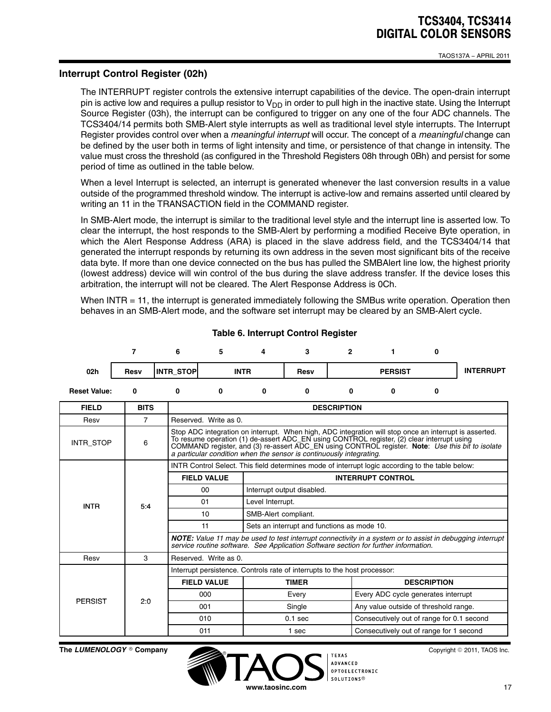### **Interrupt Control Register (02h)**

The INTERRUPT register controls the extensive interrupt capabilities of the device. The open-drain interrupt pin is active low and requires a pullup resistor to  $V_{DD}$  in order to pull high in the inactive state. Using the Interrupt Source Register (03h), the interrupt can be configured to trigger on any one of the four ADC channels. The TCS3404/14 permits both SMB-Alert style interrupts as well as traditional level style interrupts. The Interrupt Register provides control over when a *meaningful interrupt* will occur. The concept of a *meaningful* change can be defined by the user both in terms of light intensity and time, or persistence of that change in intensity. The value must cross the threshold (as configured in the Threshold Registers 08h through 0Bh) and persist for some period of time as outlined in the table below.

When a level Interrupt is selected, an interrupt is generated whenever the last conversion results in a value outside of the programmed threshold window. The interrupt is active-low and remains asserted until cleared by writing an 11 in the TRANSACTION field in the COMMAND register.

In SMB-Alert mode, the interrupt is similar to the traditional level style and the interrupt line is asserted low. To clear the interrupt, the host responds to the SMB-Alert by performing a modified Receive Byte operation, in which the Alert Response Address (ARA) is placed in the slave address field, and the TCS3404/14 that generated the interrupt responds by returning its own address in the seven most significant bits of the receive data byte. If more than one device connected on the bus has pulled the SMBAlert line low, the highest priority (lowest address) device will win control of the bus during the slave address transfer. If the device loses this arbitration, the interrupt will not be cleared. The Alert Response Address is 0Ch.

When INTR = 11, the interrupt is generated immediately following the SMBus write operation. Operation then behaves in an SMB-Alert mode, and the software set interrupt may be cleared by an SMB-Alert cycle.

|                     | 7              | 6                  | 5.                                                                                                                                                                                                                                                                                                                                                                              |                            | 3                                                                                                | $\overline{2}$     | 1.                                        | $\bf{0}$           |                  |  |
|---------------------|----------------|--------------------|---------------------------------------------------------------------------------------------------------------------------------------------------------------------------------------------------------------------------------------------------------------------------------------------------------------------------------------------------------------------------------|----------------------------|--------------------------------------------------------------------------------------------------|--------------------|-------------------------------------------|--------------------|------------------|--|
| 02 <sub>h</sub>     | Resv           | <b>INTR STOP</b>   |                                                                                                                                                                                                                                                                                                                                                                                 | <b>INTR</b>                | Resv                                                                                             |                    | <b>PERSIST</b>                            |                    | <b>INTERRUPT</b> |  |
| <b>Reset Value:</b> | 0              | 0                  | $\mathbf{0}$                                                                                                                                                                                                                                                                                                                                                                    | 0                          | 0                                                                                                | 0                  | 0                                         | 0                  |                  |  |
| <b>FIELD</b>        | <b>BITS</b>    |                    |                                                                                                                                                                                                                                                                                                                                                                                 |                            |                                                                                                  | <b>DESCRIPTION</b> |                                           |                    |                  |  |
| Resv                | $\overline{7}$ |                    | Reserved. Write as 0.                                                                                                                                                                                                                                                                                                                                                           |                            |                                                                                                  |                    |                                           |                    |                  |  |
| <b>INTR STOP</b>    | 6              |                    | Stop ADC integration on interrupt. When high, ADC integration will stop once an interrupt is asserted.<br>To resume operation (1) de-assert ADC_EN using CONTROL register, (2) clear interrupt using<br>COMMAND register, and (3) re-assert ADC_EN using CONTROL register. Note: Use this bit to isolate<br>a particular condition when the sensor is continuously integrating. |                            |                                                                                                  |                    |                                           |                    |                  |  |
|                     |                |                    |                                                                                                                                                                                                                                                                                                                                                                                 |                            | INTR Control Select. This field determines mode of interrupt logic according to the table below: |                    |                                           |                    |                  |  |
|                     |                | <b>FIELD VALUE</b> |                                                                                                                                                                                                                                                                                                                                                                                 | <b>INTERRUPT CONTROL</b>   |                                                                                                  |                    |                                           |                    |                  |  |
|                     |                |                    | 00                                                                                                                                                                                                                                                                                                                                                                              | Interrupt output disabled. |                                                                                                  |                    |                                           |                    |                  |  |
| <b>INTR</b>         | 5:4            |                    | 01<br>Level Interrupt.                                                                                                                                                                                                                                                                                                                                                          |                            |                                                                                                  |                    |                                           |                    |                  |  |
|                     |                |                    | 10<br>SMB-Alert compliant.                                                                                                                                                                                                                                                                                                                                                      |                            |                                                                                                  |                    |                                           |                    |                  |  |
|                     |                |                    | 11<br>Sets an interrupt and functions as mode 10.                                                                                                                                                                                                                                                                                                                               |                            |                                                                                                  |                    |                                           |                    |                  |  |
|                     |                |                    | <b>NOTE:</b> Value 11 may be used to test interrupt connectivity in a system or to assist in debugging interrupt<br>service routine software. See Application Software section for further information.                                                                                                                                                                         |                            |                                                                                                  |                    |                                           |                    |                  |  |
| Resv                | 3              |                    | Reserved. Write as 0.                                                                                                                                                                                                                                                                                                                                                           |                            |                                                                                                  |                    |                                           |                    |                  |  |
|                     |                |                    |                                                                                                                                                                                                                                                                                                                                                                                 |                            | Interrupt persistence. Controls rate of interrupts to the host processor:                        |                    |                                           |                    |                  |  |
|                     |                |                    | <b>FIELD VALUE</b>                                                                                                                                                                                                                                                                                                                                                              |                            | <b>TIMER</b>                                                                                     |                    |                                           | <b>DESCRIPTION</b> |                  |  |
| <b>PERSIST</b>      | 2:0            |                    | 000                                                                                                                                                                                                                                                                                                                                                                             |                            | Every                                                                                            |                    | Every ADC cycle generates interrupt       |                    |                  |  |
|                     |                |                    | 001                                                                                                                                                                                                                                                                                                                                                                             |                            | Single                                                                                           |                    | Any value outside of threshold range.     |                    |                  |  |
|                     |                |                    | 010                                                                                                                                                                                                                                                                                                                                                                             |                            | $0.1$ sec                                                                                        |                    | Consecutively out of range for 0.1 second |                    |                  |  |
|                     |                |                    | 011                                                                                                                                                                                                                                                                                                                                                                             |                            | 1 sec                                                                                            |                    | Consecutively out of range for 1 second   |                    |                  |  |

**Table 6. Interrupt Control Register**

**The LUMENOLOGY** © Company

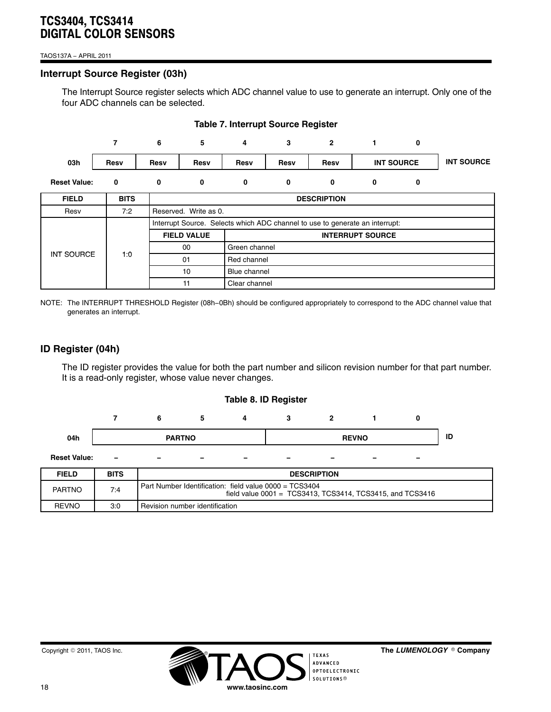#### TAOS137A − APRIL 2011

## **Interrupt Source Register (03h)**

The Interrupt Source register selects which ADC channel value to use to generate an interrupt. Only one of the four ADC channels can be selected.

|                     | 7           | 6           | 5                                                                            | 4             | 3           | $\overline{2}$ | 1.                | 0 |                   |  |
|---------------------|-------------|-------------|------------------------------------------------------------------------------|---------------|-------------|----------------|-------------------|---|-------------------|--|
| 03h                 | Resv        | <b>Resv</b> | Resv                                                                         | Resv          | Resv        | Resv           | <b>INT SOURCE</b> |   | <b>INT SOURCE</b> |  |
| <b>Reset Value:</b> | 0           | 0           | 0                                                                            | 0             | 0           | 0              | 0                 | 0 |                   |  |
| <b>FIELD</b>        | <b>BITS</b> |             | <b>DESCRIPTION</b>                                                           |               |             |                |                   |   |                   |  |
| Resv                | 7:2         |             | Reserved. Write as 0.                                                        |               |             |                |                   |   |                   |  |
|                     |             |             | Interrupt Source. Selects which ADC channel to use to generate an interrupt: |               |             |                |                   |   |                   |  |
|                     |             |             | <b>FIELD VALUE</b><br><b>INTERRUPT SOURCE</b>                                |               |             |                |                   |   |                   |  |
|                     |             |             | 00                                                                           | Green channel |             |                |                   |   |                   |  |
| <b>INT SOURCE</b>   | 1:0         |             | 01                                                                           |               | Red channel |                |                   |   |                   |  |
|                     |             |             | 10                                                                           | Blue channel  |             |                |                   |   |                   |  |
|                     |             |             | 11                                                                           | Clear channel |             |                |                   |   |                   |  |

## **Table 7. Interrupt Source Register**

NOTE: The INTERRUPT THRESHOLD Register (08h−0Bh) should be configured appropriately to correspond to the ADC channel value that generates an interrupt.

## **ID Register (04h)**

The ID register provides the value for both the part number and silicon revision number for that part number. It is a read-only register, whose value never changes.

#### **Table 8. ID Register**

|                     |                          |                          | э                        |                          | ×.                       |                          |   |                          |  |
|---------------------|--------------------------|--------------------------|--------------------------|--------------------------|--------------------------|--------------------------|---|--------------------------|--|
| 04h                 | <b>PARTNO</b>            |                          |                          | <b>REVNO</b>             |                          |                          |   | ID                       |  |
| <b>Reset Value:</b> | $\overline{\phantom{a}}$ | $\overline{\phantom{0}}$ | $\overline{\phantom{0}}$ | $\overline{\phantom{0}}$ | $\overline{\phantom{a}}$ | $\overline{\phantom{0}}$ | - | $\overline{\phantom{a}}$ |  |

| <b>FIELD</b>  | <b>BITS</b> | <b>DESCRIPTION</b>                                                                                                  |
|---------------|-------------|---------------------------------------------------------------------------------------------------------------------|
| <b>PARTNO</b> | 7:4         | Part Number Identification: field value 0000 = TCS3404<br>field value 0001 = TCS3413, TCS3414, TCS3415, and TCS3416 |
| <b>REVNO</b>  | 3:0         | Revision number identification                                                                                      |



 $^{\circ}$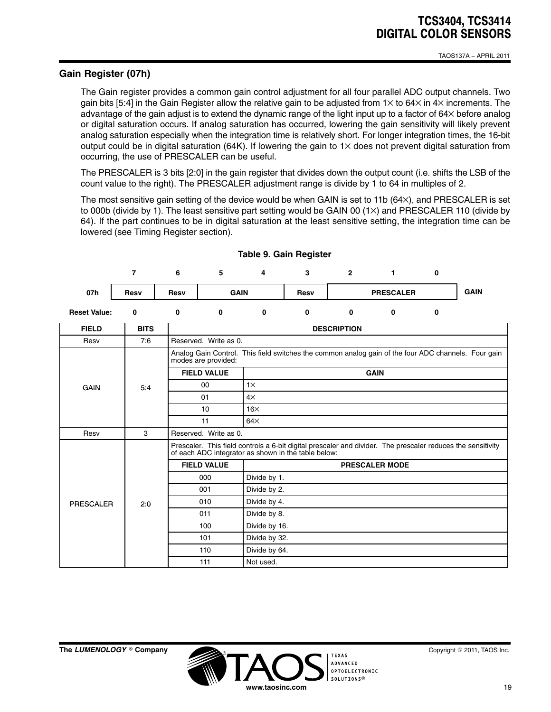## **Gain Register (07h)**

The Gain register provides a common gain control adjustment for all four parallel ADC output channels. Two gain bits [5:4] in the Gain Register allow the relative gain to be adjusted from  $1 \times$  to 64 $\times$  in  $4 \times$  increments. The advantage of the gain adjust is to extend the dynamic range of the light input up to a factor of 64× before analog or digital saturation occurs. If analog saturation has occurred, lowering the gain sensitivity will likely prevent analog saturation especially when the integration time is relatively short. For longer integration times, the 16-bit output could be in digital saturation (64K). If lowering the gain to  $1\times$  does not prevent digital saturation from occurring, the use of PRESCALER can be useful.

The PRESCALER is 3 bits [2:0] in the gain register that divides down the output count (i.e. shifts the LSB of the count value to the right). The PRESCALER adjustment range is divide by 1 to 64 in multiples of 2.

The most sensitive gain setting of the device would be when GAIN is set to 11b (64×), and PRESCALER is set to 000b (divide by 1). The least sensitive part setting would be GAIN 00  $(1\times)$  and PRESCALER 110 (divide by 64). If the part continues to be in digital saturation at the least sensitive setting, the integration time can be lowered (see Timing Register section).

|                     |      | 6    |             | 4 | v           |                  |             |
|---------------------|------|------|-------------|---|-------------|------------------|-------------|
| 07h                 | Resv | Resv | <b>GAIN</b> |   | <b>Resv</b> | <b>PRESCALER</b> | <b>GAIN</b> |
| <b>Reset Value:</b> |      |      |             |   | u           | u                |             |

| <b>FIELD</b> | <b>BITS</b> | <b>DESCRIPTION</b>                                                                                                                                                 |                                                                                                     |  |  |  |
|--------------|-------------|--------------------------------------------------------------------------------------------------------------------------------------------------------------------|-----------------------------------------------------------------------------------------------------|--|--|--|
| Resv         | 7:6         | Reserved. Write as 0.                                                                                                                                              |                                                                                                     |  |  |  |
|              |             |                                                                                                                                                                    | Analog Gain Control. This field switches the common analog gain of the four ADC channels. Four gain |  |  |  |
|              |             | <b>FIELD VALUE</b>                                                                                                                                                 | <b>GAIN</b>                                                                                         |  |  |  |
| GAIN         | 5:4         | 00                                                                                                                                                                 | $1\times$                                                                                           |  |  |  |
|              |             | 01                                                                                                                                                                 | $4\times$                                                                                           |  |  |  |
|              |             | 10                                                                                                                                                                 | $16\times$                                                                                          |  |  |  |
|              |             | 11                                                                                                                                                                 | $64\times$                                                                                          |  |  |  |
| Resv         | 3           | Reserved. Write as 0.                                                                                                                                              |                                                                                                     |  |  |  |
|              |             | Prescaler. This field controls a 6-bit digital prescaler and divider. The prescaler reduces the sensitivity<br>of each ADC integrator as shown in the table below: |                                                                                                     |  |  |  |
|              |             | <b>FIELD VALUE</b>                                                                                                                                                 | <b>PRESCALER MODE</b>                                                                               |  |  |  |
|              |             | 000                                                                                                                                                                | Divide by 1.                                                                                        |  |  |  |
|              |             | 001                                                                                                                                                                | Divide by 2.                                                                                        |  |  |  |
| PRESCALER    | 2:0         | 010                                                                                                                                                                | Divide by 4.                                                                                        |  |  |  |
|              |             | 011                                                                                                                                                                | Divide by 8.                                                                                        |  |  |  |
|              |             | 100                                                                                                                                                                | Divide by 16.                                                                                       |  |  |  |
|              |             | 101                                                                                                                                                                | Divide by 32.                                                                                       |  |  |  |
|              |             | 110                                                                                                                                                                | Divide by 64.                                                                                       |  |  |  |
|              |             | 111                                                                                                                                                                | Not used.                                                                                           |  |  |  |

**www.taosinc.com**

SOLUTIONS®

**TEXAS ADVANCED OPTOELECTRONIC** 

#### **Table 9. Gain Register**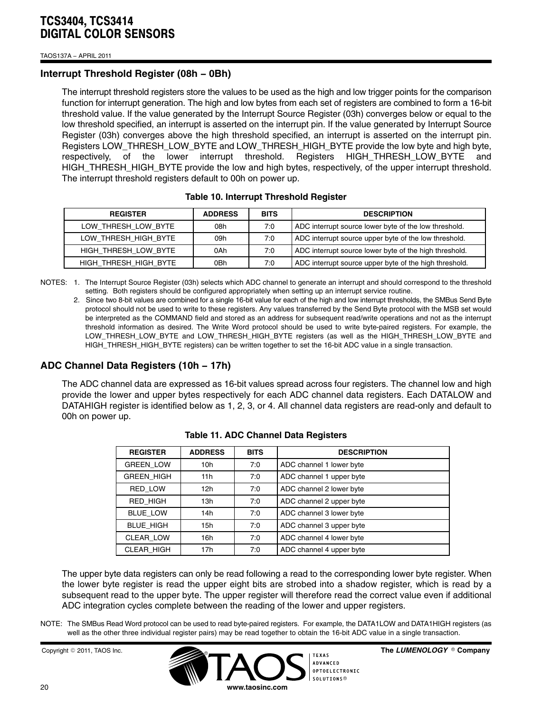TAOS137A − APRIL 2011

## **Interrupt Threshold Register (08h − 0Bh)**

The interrupt threshold registers store the values to be used as the high and low trigger points for the comparison function for interrupt generation. The high and low bytes from each set of registers are combined to form a 16-bit threshold value. If the value generated by the Interrupt Source Register (03h) converges below or equal to the low threshold specified, an interrupt is asserted on the interrupt pin. If the value generated by Interrupt Source Register (03h) converges above the high threshold specified, an interrupt is asserted on the interrupt pin. Registers LOW\_THRESH\_LOW\_BYTE and LOW\_THRESH\_HIGH\_BYTE provide the low byte and high byte, respectively, of the lower interrupt threshold. Registers HIGH\_THRESH\_LOW\_BYTE and HIGH\_THRESH\_HIGH\_BYTE provide the low and high bytes, respectively, of the upper interrupt threshold. The interrupt threshold registers default to 00h on power up.

| <b>REGISTER</b>       | <b>ADDRESS</b> | <b>BITS</b> | <b>DESCRIPTION</b>                                     |
|-----------------------|----------------|-------------|--------------------------------------------------------|
| LOW THRESH LOW BYTE   | 08h            | 7:0         | ADC interrupt source lower byte of the low threshold.  |
| LOW THRESH HIGH BYTE  | 09h            | 7:0         | ADC interrupt source upper byte of the low threshold.  |
| HIGH THRESH LOW BYTE  | 0Ah            | 7:0         | ADC interrupt source lower byte of the high threshold. |
| HIGH THRESH HIGH BYTE | 0Bh            | 7:0         | ADC interrupt source upper byte of the high threshold. |

#### **Table 10. Interrupt Threshold Register**

NOTES: 1. The Interrupt Source Register (03h) selects which ADC channel to generate an interrupt and should correspond to the threshold setting. Both registers should be configured appropriately when setting up an interrupt service routine.

2. Since two 8-bit values are combined for a single 16-bit value for each of the high and low interrupt thresholds, the SMBus Send Byte protocol should not be used to write to these registers. Any values transferred by the Send Byte protocol with the MSB set would be interpreted as the COMMAND field and stored as an address for subsequent read/write operations and not as the interrupt threshold information as desired. The Write Word protocol should be used to write byte-paired registers. For example, the LOW\_THRESH\_LOW\_BYTE and LOW\_THRESH\_HIGH\_BYTE registers (as well as the HIGH\_THRESH\_LOW\_BYTE and HIGH\_THRESH\_HIGH\_BYTE registers) can be written together to set the 16-bit ADC value in a single transaction.

## **ADC Channel Data Registers (10h − 17h)**

The ADC channel data are expressed as 16-bit values spread across four registers. The channel low and high provide the lower and upper bytes respectively for each ADC channel data registers. Each DATALOW and DATAHIGH register is identified below as 1, 2, 3, or 4. All channel data registers are read-only and default to 00h on power up.

| <b>REGISTER</b>   | <b>ADDRESS</b> | <b>BITS</b> | <b>DESCRIPTION</b>       |
|-------------------|----------------|-------------|--------------------------|
| <b>GREEN LOW</b>  | 10h            | 7:0         | ADC channel 1 lower byte |
| <b>GREEN HIGH</b> | 11h            | 7:0         | ADC channel 1 upper byte |
| <b>RED LOW</b>    | 12h            | 7:0         | ADC channel 2 lower byte |
| RED HIGH          | 13h            | 7:0         | ADC channel 2 upper byte |
| <b>BLUE LOW</b>   | 14h            | 7:0         | ADC channel 3 lower byte |
| <b>BLUE HIGH</b>  | 15h            | 7:0         | ADC channel 3 upper byte |
| <b>CLEAR LOW</b>  | 16h            | 7:0         | ADC channel 4 lower byte |
| CLEAR HIGH        | 17h            | 7:0         | ADC channel 4 upper byte |

#### **Table 11. ADC Channel Data Registers**

The upper byte data registers can only be read following a read to the corresponding lower byte register. When the lower byte register is read the upper eight bits are strobed into a shadow register, which is read by a subsequent read to the upper byte. The upper register will therefore read the correct value even if additional ADC integration cycles complete between the reading of the lower and upper registers.

NOTE: The SMBus Read Word protocol can be used to read byte-paired registers. For example, the DATA1LOW and DATA1HIGH registers (as well as the other three individual register pairs) may be read together to obtain the 16-bit ADC value in a single transaction.

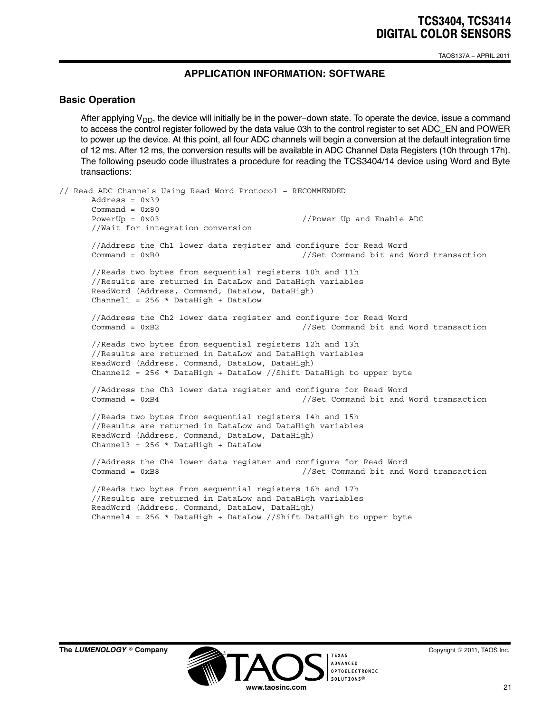TAOS137A − APRIL 2011

## **APPLICATION INFORMATION: SOFTWARE**

#### **Basic Operation**

After applying V<sub>DD</sub>, the device will initially be in the power−down state. To operate the device, issue a command to access the control register followed by the data value 03h to the control register to set ADC\_EN and POWER to power up the device. At this point, all four ADC channels will begin a conversion at the default integration time of 12 ms. After 12 ms, the conversion results will be available in ADC Channel Data Registers (10h through 17h). The following pseudo code illustrates a procedure for reading the TCS3404/14 device using Word and Byte transactions:

```
// Read ADC Channels Using Read Word Protocol − RECOMMENDED
     Address = 0x39
     Command = 0x80PowerUp = 0x03 //Power Up and Enable ADC
      //Wait for integration conversion
      //Address the Ch1 lower data register and configure for Read Word
      Command = 0xB0 \frac{1}{s} //Set Command bit and Word transaction
      //Reads two bytes from sequential registers 10h and 11h
      //Results are returned in DataLow and DataHigh variables
      ReadWord (Address, Command, DataLow, DataHigh)
     Channel1 = 256 * DataHigh + DataLow
      //Address the Ch2 lower data register and configure for Read Word
      Command = 0xB2 //Set Command bit and Word transaction
      //Reads two bytes from sequential registers 12h and 13h
      //Results are returned in DataLow and DataHigh variables
      ReadWord (Address, Command, DataLow, DataHigh)
      Channel2 = 256 * DataHigh + DataLow //Shift DataHigh to upper byte
      //Address the Ch3 lower data register and configure for Read Word
      Command = 0xB4 //Set Command bit and Word transaction
      //Reads two bytes from sequential registers 14h and 15h
      //Results are returned in DataLow and DataHigh variables
      ReadWord (Address, Command, DataLow, DataHigh)
      Channel3 = 256 * DataHigh + DataLow
      //Address the Ch4 lower data register and configure for Read Word
      Command = 0xB8 //Set Command bit and Word transaction
      //Reads two bytes from sequential registers 16h and 17h
      //Results are returned in DataLow and DataHigh variables
      ReadWord (Address, Command, DataLow, DataHigh)
      Channel4 = 256 * DataHigh + DataLow //Shift DataHigh to upper byte
```
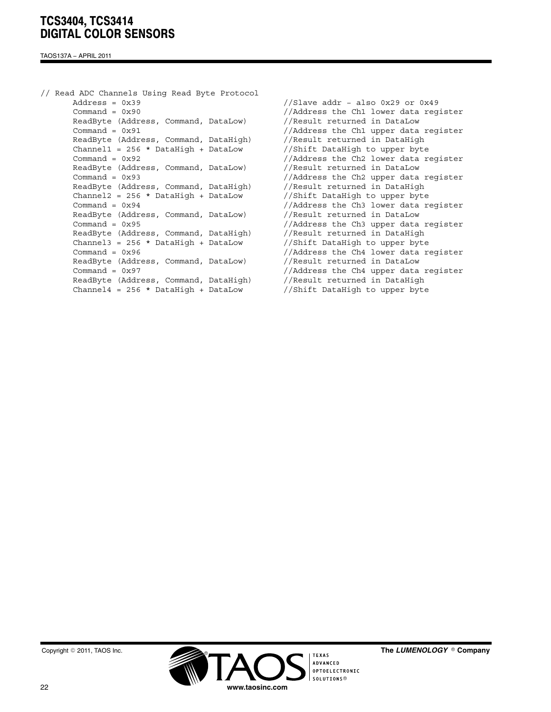TAOS137A − APRIL 2011

// Read ADC Channels Using Read Byte Protocol Address = 0x39 //Slave addr − also 0x29 or 0x49 Command = 0x90 //Address the Ch1 lower data register ReadByte (Address, Command, DataLow) //Result returned in DataLow Command = 0x91 //Address the Ch1 upper data register ReadByte (Address, Command, DataHigh) //Result returned in DataHigh Channel1 = 256 \* DataHigh + DataLow  $//Shift$  DataHigh to upper byte Command = 0x92 //Address the Ch2 lower data register ReadByte (Address, Command, DataLow) //Result returned in DataLow Command = 0x93 //Address the Ch2 upper data register ReadByte (Address, Command, DataHigh) //Result returned in DataHigh Channel2 = 256 \* DataHigh + DataLow  $//Shift$  DataHigh to upper byte Command = 0x94 //Address the Ch3 lower data register ReadByte (Address, Command, DataLow) //Result returned in DataLow Command = 0x95 //Address the Ch3 upper data register ReadByte (Address, Command, DataHigh) //Result returned in DataHigh Channel3 = 256 \* DataHigh + DataLow //Shift DataHigh to upper byte Command = 0x96 //Address the Ch4 lower data register ReadByte (Address, Command, DataLow) //Result returned in DataLow Command = 0x97 //Address the Ch4 upper data register ReadByte (Address, Command, DataHigh) //Result returned in DataHigh Channel4 =  $256 *$  DataHigh + DataLow //Shift DataHigh to upper byte



The LUMENOLOGY <sup>®</sup> Company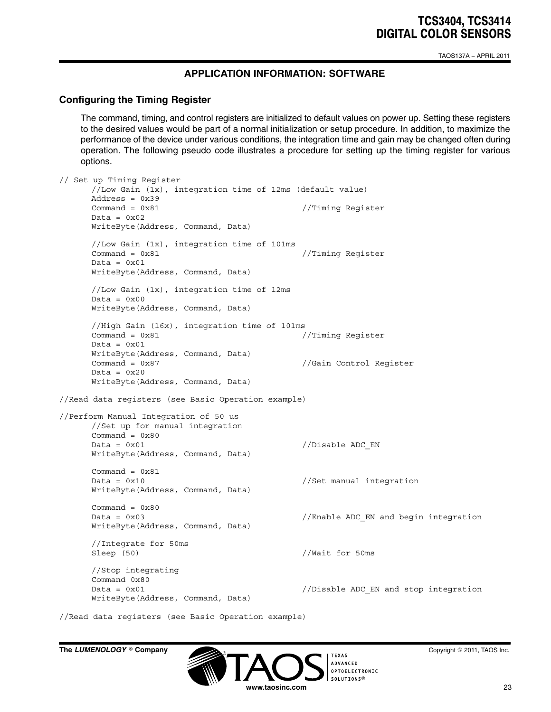TAOS137A − APRIL 2011

## **APPLICATION INFORMATION: SOFTWARE**

#### **Configuring the Timing Register**

The command, timing, and control registers are initialized to default values on power up. Setting these registers to the desired values would be part of a normal initialization or setup procedure. In addition, to maximize the performance of the device under various conditions, the integration time and gain may be changed often during operation. The following pseudo code illustrates a procedure for setting up the timing register for various options.

```
// Set up Timing Register
     //Low Gain (1x), integration time of 12ms (default value)
     Address = 0x39
     Command = 0x81 //Timing Register
     Data = 0x02WriteByte(Address, Command, Data)
     //Low Gain (1x), integration time of 101ms
     Command = 0x81 //Timing Register
     Data = 0x01WriteByte(Address, Command, Data)
     //Low Gain (1x), integration time of 12ms
     Data = 0x00WriteByte(Address, Command, Data)
     //High Gain (16x), integration time of 101ms
     Command = 0x81 //Timing Register
     Data = 0x01WriteByte(Address, Command, Data)
     Command = 0x87 //Gain Control Register
     Data = 0x20WriteByte(Address, Command, Data)
//Read data registers (see Basic Operation example)
//Perform Manual Integration of 50 us
     //Set up for manual integration
     Command = 0 \times 80Data = 0x01 //Disable ADC EN
     WriteByte(Address, Command, Data)
     Command = 0x81
     Data = 0x10 //Set manual integration
     WriteByte(Address, Command, Data)
     Command = 0x80Data = 0x03 //Enable ADC EN and begin integration
     WriteByte(Address, Command, Data)
     //Integrate for 50ms
     Sleep (50) //Wait for 50ms
     //Stop integrating
     Command 0x80
     Data = 0x01 //Disable ADC EN and stop integration
     WriteByte(Address, Command, Data)
```
//Read data registers (see Basic Operation example)

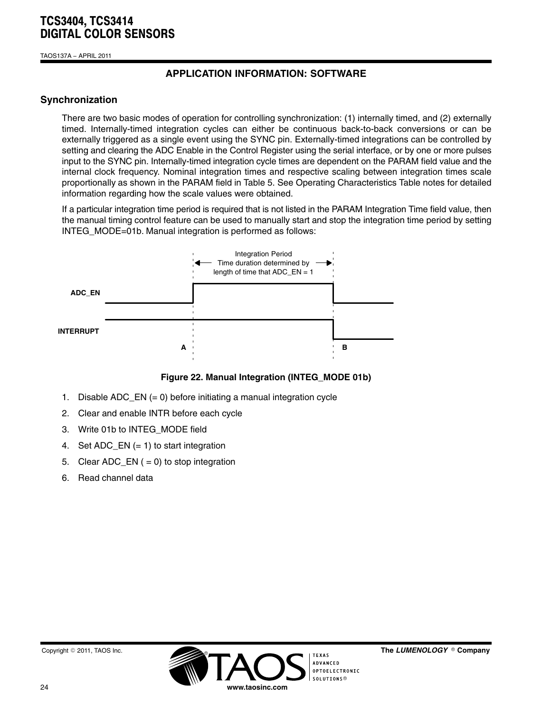TAOS137A − APRIL 2011

## **APPLICATION INFORMATION: SOFTWARE**

## **Synchronization**

There are two basic modes of operation for controlling synchronization: (1) internally timed, and (2) externally timed. Internally-timed integration cycles can either be continuous back-to-back conversions or can be externally triggered as a single event using the SYNC pin. Externally-timed integrations can be controlled by setting and clearing the ADC Enable in the Control Register using the serial interface, or by one or more pulses input to the SYNC pin. Internally-timed integration cycle times are dependent on the PARAM field value and the internal clock frequency. Nominal integration times and respective scaling between integration times scale proportionally as shown in the PARAM field in Table 5. See Operating Characteristics Table notes for detailed information regarding how the scale values were obtained.

If a particular integration time period is required that is not listed in the PARAM Integration Time field value, then the manual timing control feature can be used to manually start and stop the integration time period by setting INTEG MODE=01b. Manual integration is performed as follows:



**Figure 22. Manual Integration (INTEG\_MODE 01b)**

- 1. Disable ADC\_EN (= 0) before initiating a manual integration cycle
- 2. Clear and enable INTR before each cycle
- 3. Write 01b to INTEG\_MODE field
- 4. Set ADC\_EN (= 1) to start integration
- 5. Clear ADC\_EN  $( = 0)$  to stop integration
- 6. Read channel data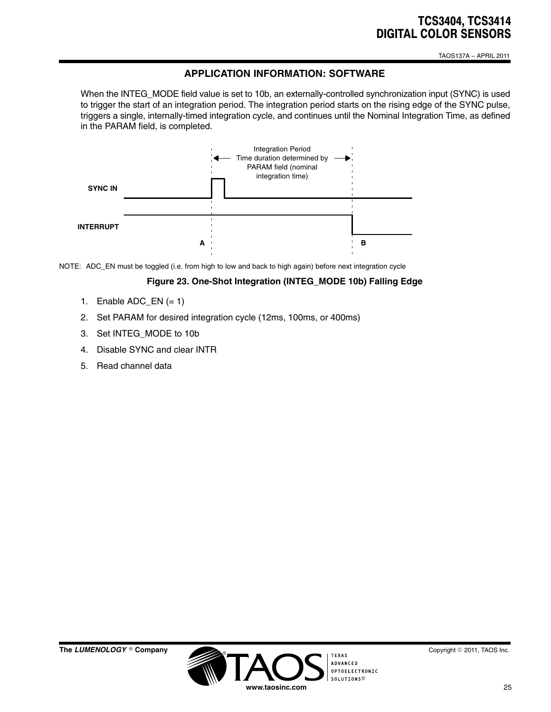TAOS137A − APRIL 2011

## **APPLICATION INFORMATION: SOFTWARE**

When the INTEG\_MODE field value is set to 10b, an externally-controlled synchronization input (SYNC) is used to trigger the start of an integration period. The integration period starts on the rising edge of the SYNC pulse, triggers a single, internally-timed integration cycle, and continues until the Nominal Integration Time, as defined in the PARAM field, is completed.



NOTE: ADC\_EN must be toggled (i.e. from high to low and back to high again) before next integration cycle

#### **Figure 23. One-Shot Integration (INTEG\_MODE 10b) Falling Edge**

- 1. Enable ADC\_EN  $(= 1)$
- 2. Set PARAM for desired integration cycle (12ms, 100ms, or 400ms)
- 3. Set INTEG\_MODE to 10b
- 4. Disable SYNC and clear INTR
- 5. Read channel data



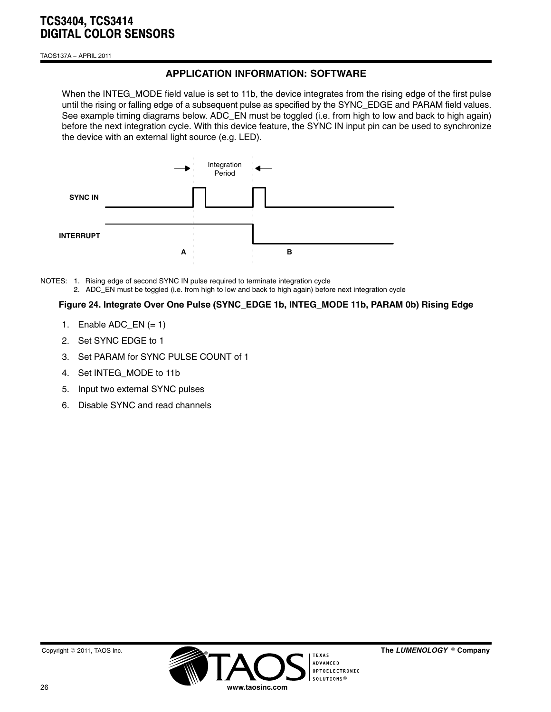TAOS137A − APRIL 2011

# **APPLICATION INFORMATION: SOFTWARE**

When the INTEG\_MODE field value is set to 11b, the device integrates from the rising edge of the first pulse until the rising or falling edge of a subsequent pulse as specified by the SYNC\_EDGE and PARAM field values. See example timing diagrams below. ADC EN must be toggled (i.e. from high to low and back to high again) before the next integration cycle. With this device feature, the SYNC IN input pin can be used to synchronize the device with an external light source (e.g. LED).



NOTES: 1. Rising edge of second SYNC IN pulse required to terminate integration cycle 2. ADC\_EN must be toggled (i.e. from high to low and back to high again) before next integration cycle

### **Figure 24. Integrate Over One Pulse (SYNC\_EDGE 1b, INTEG\_MODE 11b, PARAM 0b) Rising Edge**

- 1. Enable  $ADC_EN (= 1)$
- 2. Set SYNC EDGE to 1
- 3. Set PARAM for SYNC PULSE COUNT of 1
- 4. Set INTEG\_MODE to 11b
- 5. Input two external SYNC pulses
- 6. Disable SYNC and read channels

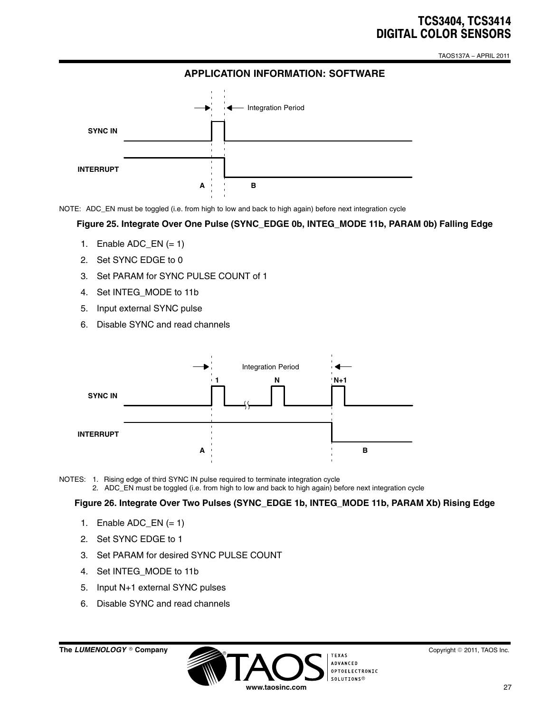TAOS137A − APRIL 2011

## **APPLICATION INFORMATION: SOFTWARE**



NOTE: ADC\_EN must be toggled (i.e. from high to low and back to high again) before next integration cycle

**Figure 25. Integrate Over One Pulse (SYNC\_EDGE 0b, INTEG\_MODE 11b, PARAM 0b) Falling Edge**

- 1. Enable ADC  $EN (= 1)$
- 2. Set SYNC EDGE to 0
- 3. Set PARAM for SYNC PULSE COUNT of 1
- 4. Set INTEG\_MODE to 11b
- 5. Input external SYNC pulse
- 6. Disable SYNC and read channels



NOTES: 1. Rising edge of third SYNC IN pulse required to terminate integration cycle 2. ADC\_EN must be toggled (i.e. from high to low and back to high again) before next integration cycle

**Figure 26. Integrate Over Two Pulses (SYNC\_EDGE 1b, INTEG\_MODE 11b, PARAM Xb) Rising Edge**

- 1. Enable ADC\_EN  $(= 1)$
- 2. Set SYNC EDGE to 1
- 3. Set PARAM for desired SYNC PULSE COUNT
- 4. Set INTEG\_MODE to 11b
- 5. Input N+1 external SYNC pulses
- 6. Disable SYNC and read channels

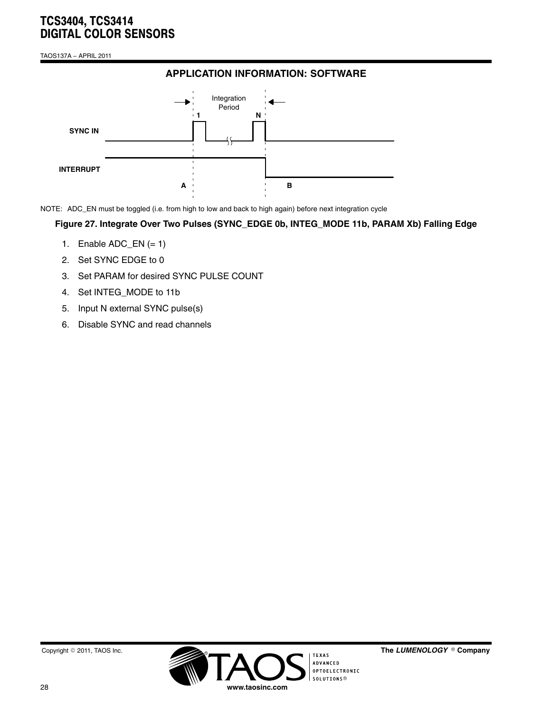TAOS137A − APRIL 2011

# **APPLICATION INFORMATION: SOFTWARE**



NOTE: ADC\_EN must be toggled (i.e. from high to low and back to high again) before next integration cycle

#### **Figure 27. Integrate Over Two Pulses (SYNC\_EDGE 0b, INTEG\_MODE 11b, PARAM Xb) Falling Edge**

- 1. Enable  $ADC_EN (= 1)$
- 2. Set SYNC EDGE to 0
- 3. Set PARAM for desired SYNC PULSE COUNT
- 4. Set INTEG\_MODE to 11b
- 5. Input N external SYNC pulse(s)
- 6. Disable SYNC and read channels



The LUMENOLOGY <sup>®</sup> Company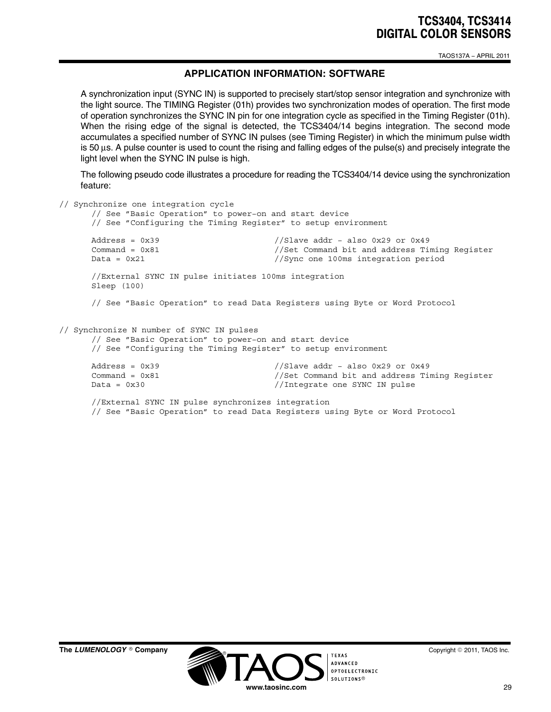TAOS137A − APRIL 2011

## **APPLICATION INFORMATION: SOFTWARE**

A synchronization input (SYNC IN) is supported to precisely start/stop sensor integration and synchronize with the light source. The TIMING Register (01h) provides two synchronization modes of operation. The first mode of operation synchronizes the SYNC IN pin for one integration cycle as specified in the Timing Register (01h). When the rising edge of the signal is detected, the TCS3404/14 begins integration. The second mode accumulates a specified number of SYNC IN pulses (see Timing Register) in which the minimum pulse width is 50 μs. A pulse counter is used to count the rising and falling edges of the pulse(s) and precisely integrate the light level when the SYNC IN pulse is high.

The following pseudo code illustrates a procedure for reading the TCS3404/14 device using the synchronization feature:

```
// Synchronize one integration cycle
     // See "Basic Operation" to power−on and start device
     // See "Configuring the Timing Register" to setup environment
     Address = 0x39 //Slave addr − also 0x29 or 0x49
     Command = 0x81 //Set Command bit and address Timing Register
     Data = 0x21 //Sync one 100ms integration period
     //External SYNC IN pulse initiates 100ms integration
     Sleep (100)
     // See "Basic Operation" to read Data Registers using Byte or Word Protocol
// Synchronize N number of SYNC IN pulses
     // See "Basic Operation" to power−on and start device
     // See "Configuring the Timing Register" to setup environment
     Address = 0x39 //Slave addr − also 0x29 or 0x49
     Command = 0x81 //Set Command bit and address Timing Register
     Data = 0x30 //Integrate one SYNC IN pulse
     //External SYNC IN pulse synchronizes integration
     // See "Basic Operation" to read Data Registers using Byte or Word Protocol
```
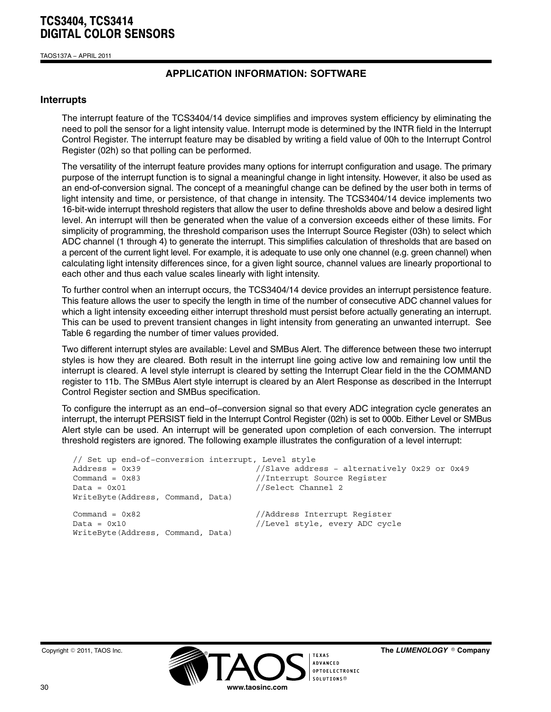TAOS137A − APRIL 2011

## **APPLICATION INFORMATION: SOFTWARE**

#### **Interrupts**

The interrupt feature of the TCS3404/14 device simplifies and improves system efficiency by eliminating the need to poll the sensor for a light intensity value. Interrupt mode is determined by the INTR field in the Interrupt Control Register. The interrupt feature may be disabled by writing a field value of 00h to the Interrupt Control Register (02h) so that polling can be performed.

The versatility of the interrupt feature provides many options for interrupt configuration and usage. The primary purpose of the interrupt function is to signal a meaningful change in light intensity. However, it also be used as an end-of-conversion signal. The concept of a meaningful change can be defined by the user both in terms of light intensity and time, or persistence, of that change in intensity. The TCS3404/14 device implements two 16-bit-wide interrupt threshold registers that allow the user to define thresholds above and below a desired light level. An interrupt will then be generated when the value of a conversion exceeds either of these limits. For simplicity of programming, the threshold comparison uses the Interrupt Source Register (03h) to select which ADC channel (1 through 4) to generate the interrupt. This simplifies calculation of thresholds that are based on a percent of the current light level. For example, it is adequate to use only one channel (e.g. green channel) when calculating light intensity differences since, for a given light source, channel values are linearly proportional to each other and thus each value scales linearly with light intensity.

To further control when an interrupt occurs, the TCS3404/14 device provides an interrupt persistence feature. This feature allows the user to specify the length in time of the number of consecutive ADC channel values for which a light intensity exceeding either interrupt threshold must persist before actually generating an interrupt. This can be used to prevent transient changes in light intensity from generating an unwanted interrupt. See Table 6 regarding the number of timer values provided.

Two different interrupt styles are available: Level and SMBus Alert. The difference between these two interrupt styles is how they are cleared. Both result in the interrupt line going active low and remaining low until the interrupt is cleared. A level style interrupt is cleared by setting the Interrupt Clear field in the the COMMAND register to 11b. The SMBus Alert style interrupt is cleared by an Alert Response as described in the Interrupt Control Register section and SMBus specification.

To configure the interrupt as an end−of−conversion signal so that every ADC integration cycle generates an interrupt, the interrupt PERSIST field in the Interrupt Control Register (02h) is set to 000b. Either Level or SMBus Alert style can be used. An interrupt will be generated upon completion of each conversion. The interrupt threshold registers are ignored. The following example illustrates the configuration of a level interrupt:

| // Set up end-of-conversion interrupt, Level style |                                                                |
|----------------------------------------------------|----------------------------------------------------------------|
| $Address = 0x39$                                   | //Slave address - alternatively 0x29 or 0x49                   |
| Command = $0x83$                                   | //Interrupt Source Register                                    |
| $Data = 0x01$                                      | //Select Channel 2                                             |
| WriteByte (Address, Command, Data)                 |                                                                |
| Command = $0x82$<br>$Data = 0x10$                  | //Address Interrupt Register<br>//Level style, every ADC cycle |
| WriteByte (Address, Command, Data)                 |                                                                |

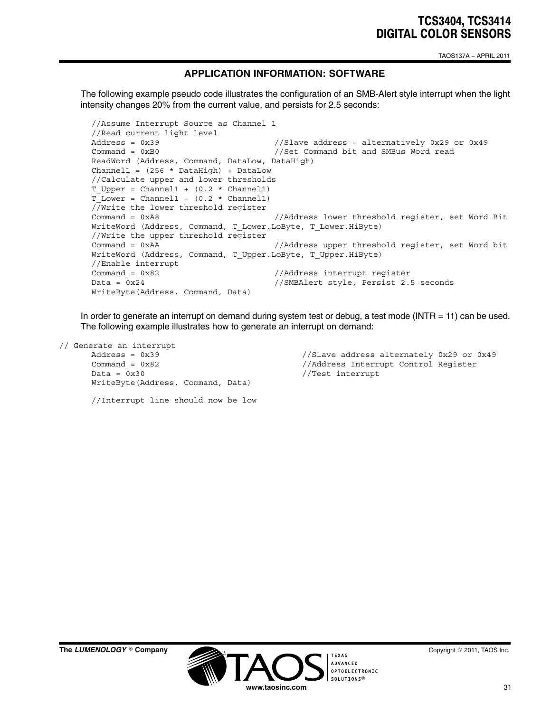TAOS137A − APRIL 2011

## **APPLICATION INFORMATION: SOFTWARE**

The following example pseudo code illustrates the configuration of an SMB-Alert style interrupt when the light intensity changes 20% from the current value, and persists for 2.5 seconds:

```
//Assume Interrupt Source as Channel 1
//Read current light level
Address = 0x39 //Slave address - alternatively 0x29 or 0x49
Command = 0xB0 //Set Command bit and SMBus Word read
ReadWord (Address, Command, DataLow, DataHigh)
Channel1 = (256 * DataHigh) + DataLow//Calculate upper and lower thresholds
T Upper = Channel1 + (0.2 * channel1)T Lower = Channel1 - (0.2 * Channel1)
//Write the lower threshold register
Command = 0xA8 //Address lower threshold register, set Word Bit
WriteWord (Address, Command, T_Lower.LoByte, T_Lower.HiByte)
//Write the upper threshold register
Command = 0xAA //Address upper threshold register, set Word bit
WriteWord (Address, Command, T_Upper.LoByte, T_Upper.HiByte)
//Enable interrupt
Command = 0x82 //Address interrupt reqister
Data = 0x24 //SMBAlert style, Persist 2.5 seconds
WriteByte(Address, Command, Data)
```
In order to generate an interrupt on demand during system test or debug, a test mode (INTR = 11) can be used. The following example illustrates how to generate an interrupt on demand:

```
// Generate an interrupt
    Data = 0x30 //Test interrupt
    WriteByte(Address, Command, Data)
```
Address = 0x39 //Slave address alternately 0x29 or 0x49 Command = 0x82 //Address Interrupt Control Register

//Interrupt line should now be low

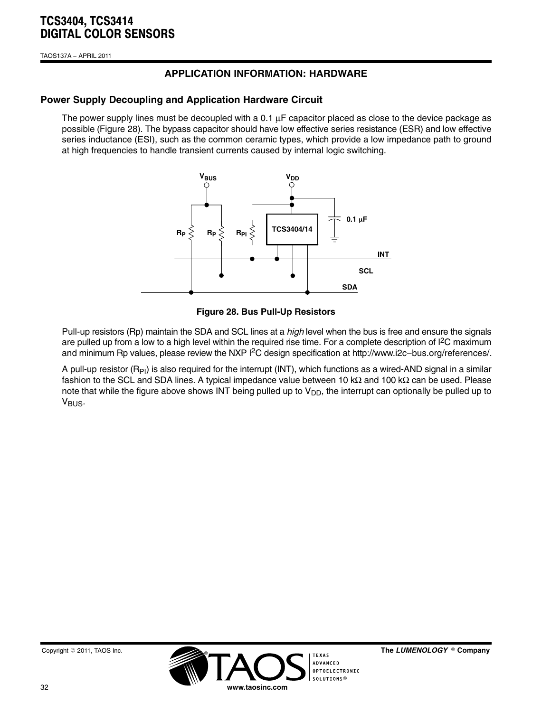TAOS137A − APRIL 2011

# **APPLICATION INFORMATION: HARDWARE**

## **Power Supply Decoupling and Application Hardware Circuit**

The power supply lines must be decoupled with a 0.1 μF capacitor placed as close to the device package as possible (Figure 28). The bypass capacitor should have low effective series resistance (ESR) and low effective series inductance (ESI), such as the common ceramic types, which provide a low impedance path to ground at high frequencies to handle transient currents caused by internal logic switching.



#### **Figure 28. Bus Pull-Up Resistors**

Pull-up resistors (Rp) maintain the SDA and SCL lines at a *high* level when the bus is free and ensure the signals are pulled up from a low to a high level within the required rise time. For a complete description of  $l^2C$  maximum and minimum Rp values, please review the NXP I2C design specification at http://www.i2c−bus.org/references/.

A pull-up resistor  $(R_{PI})$  is also required for the interrupt (INT), which functions as a wired-AND signal in a similar fashion to the SCL and SDA lines. A typical impedance value between 10 kΩ and 100 kΩ can be used. Please note that while the figure above shows INT being pulled up to  $V_{DD}$ , the interrupt can optionally be pulled up to  $V_{\text{BUS}}$ .





The LUMENOLOGY ® Company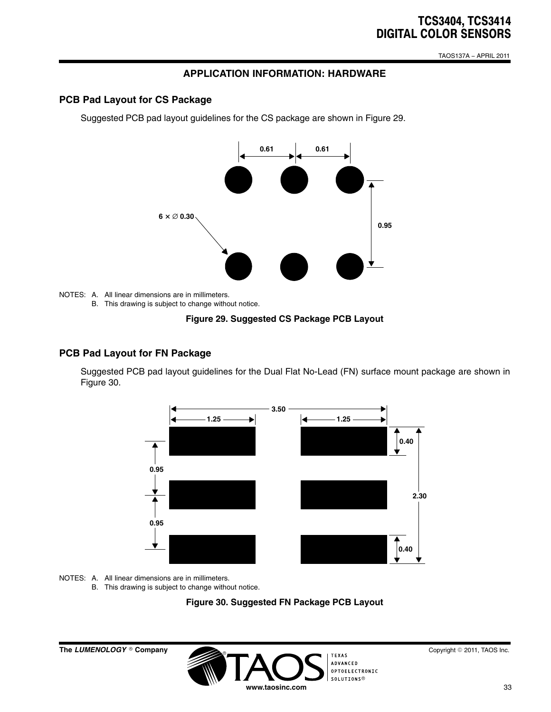TAOS137A − APRIL 2011

# **APPLICATION INFORMATION: HARDWARE**

## **PCB Pad Layout for CS Package**

Suggested PCB pad layout guidelines for the CS package are shown in Figure 29.



NOTES: A. All linear dimensions are in millimeters. B. This drawing is subject to change without notice.

**Figure 29. Suggested CS Package PCB Layout**

#### **PCB Pad Layout for FN Package**

Suggested PCB pad layout guidelines for the Dual Flat No-Lead (FN) surface mount package are shown in Figure 30.



NOTES: A. All linear dimensions are in millimeters.

B. This drawing is subject to change without notice.



-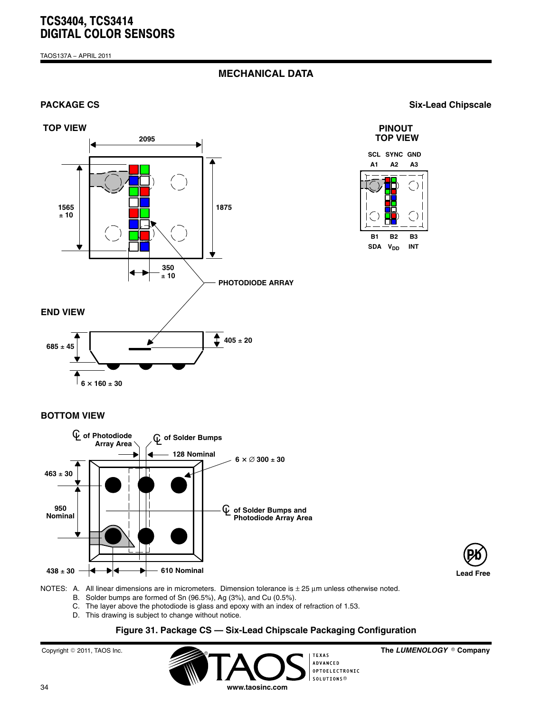TAOS137A − APRIL 2011

## **MECHANICAL DATA**

#### **TOP VIEW**



**PACKAGE CS** Six-Lead Chipscale

## **PINOUT TOP VIEW**



 $\frac{1}{6}$   $\times$  160  $\pm$  30

## **BOTTOM VIEW**





NOTES: A. All linear dimensions are in micrometers. Dimension tolerance is ± 25 μm unless otherwise noted.

- B. Solder bumps are formed of Sn (96.5%), Ag (3%), and Cu (0.5%).
- C. The layer above the photodiode is glass and epoxy with an index of refraction of 1.53.
- D. This drawing is subject to change without notice.

## **Figure 31. Package CS — Six-Lead Chipscale Packaging Configuration**

**www.taosinc.com**

 $\circ$ Copyright © 2011, TAOS Inc. **The absolute of the** *LUME***NO COPYRIGHT** ITEXAS

**ADVANCED** OPTOELECTRONIC<br>SOLUTIONS<sup>®</sup> The LUMENOLOGY ® Company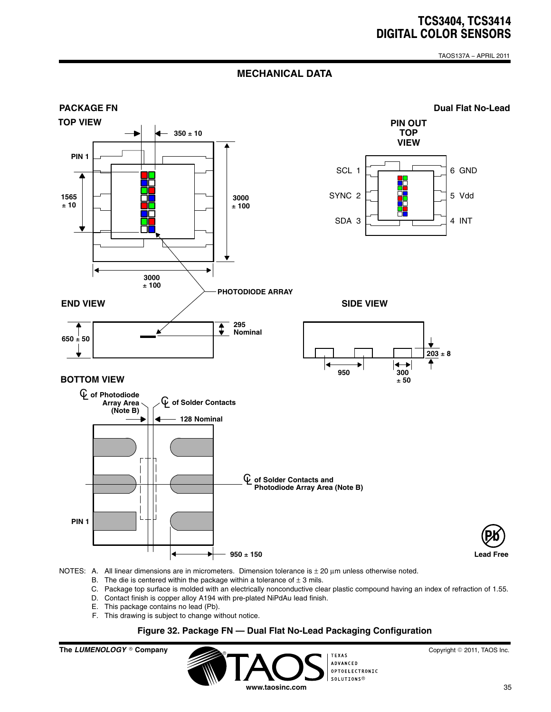TAOS137A − APRIL 2011

## **MECHANICAL DATA**



NOTES: A. All linear dimensions are in micrometers. Dimension tolerance is  $\pm$  20  $\mu$ m unless otherwise noted.

- B. The die is centered within the package within a tolerance of  $\pm$  3 mils.
- C. Package top surface is molded with an electrically nonconductive clear plastic compound having an index of refraction of 1.55.
- D. Contact finish is copper alloy A194 with pre-plated NiPdAu lead finish.
- E. This package contains no lead (Pb).
- F. This drawing is subject to change without notice.

### **Figure 32. Package FN — Dual Flat No-Lead Packaging Configuration**

**The LUMENOLOGY** © Company **TEXAS** ADVANCED OPTOFL ECTRONTC SOLUTIONS® **www.taosinc.com**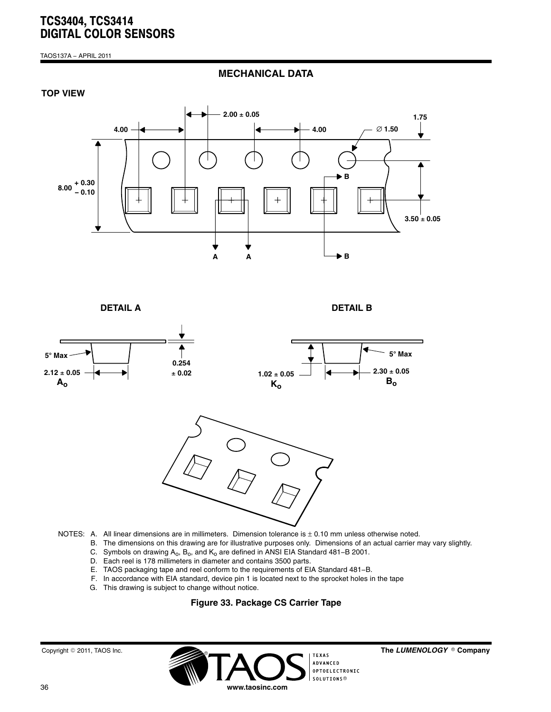TAOS137A − APRIL 2011

**MECHANICAL DATA**





**DETAIL A**

**DETAIL B**



- NOTES: A. All linear dimensions are in millimeters. Dimension tolerance is  $\pm$  0.10 mm unless otherwise noted.
	- B. The dimensions on this drawing are for illustrative purposes only. Dimensions of an actual carrier may vary slightly.
	- C. Symbols on drawing A<sub>o</sub>, B<sub>o</sub>, and K<sub>o</sub> are defined in ANSI EIA Standard 481–B 2001.
	- D. Each reel is 178 millimeters in diameter and contains 3500 parts.
	- E. TAOS packaging tape and reel conform to the requirements of EIA Standard 481−B.
	- F. In accordance with EIA standard, device pin 1 is located next to the sprocket holes in the tape
	- G. This drawing is subject to change without notice.

### **Figure 33. Package CS Carrier Tape**



The LUMENOLOGY ® Company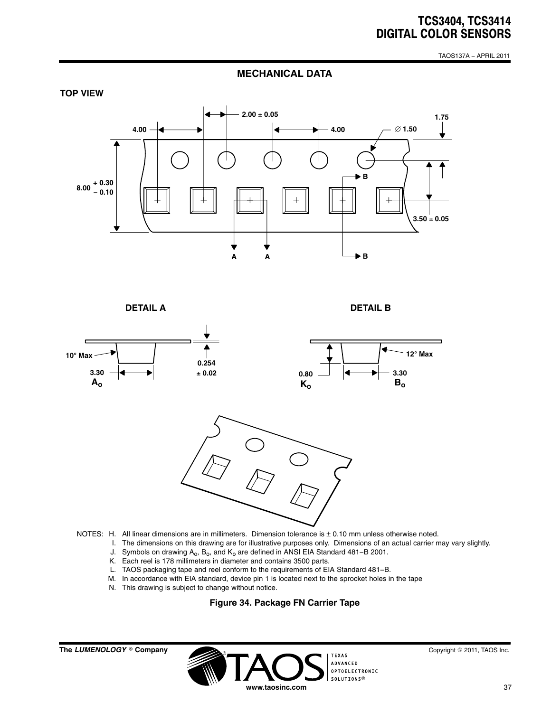TAOS137A − APRIL 2011

### **MECHANICAL DATA**



**DETAIL A**

**DETAIL B**



- - I. The dimensions on this drawing are for illustrative purposes only. Dimensions of an actual carrier may vary slightly.
	- J. Symbols on drawing A<sub>o</sub>, B<sub>o</sub>, and K<sub>o</sub> are defined in ANSI EIA Standard 481–B 2001.
	- K. Each reel is 178 millimeters in diameter and contains 3500 parts.
	- L. TAOS packaging tape and reel conform to the requirements of EIA Standard 481−B.
	- M. In accordance with EIA standard, device pin 1 is located next to the sprocket holes in the tape
	- N. This drawing is subject to change without notice.

#### **Figure 34. Package FN Carrier Tape**

**The LUMENOLOGY** © Company

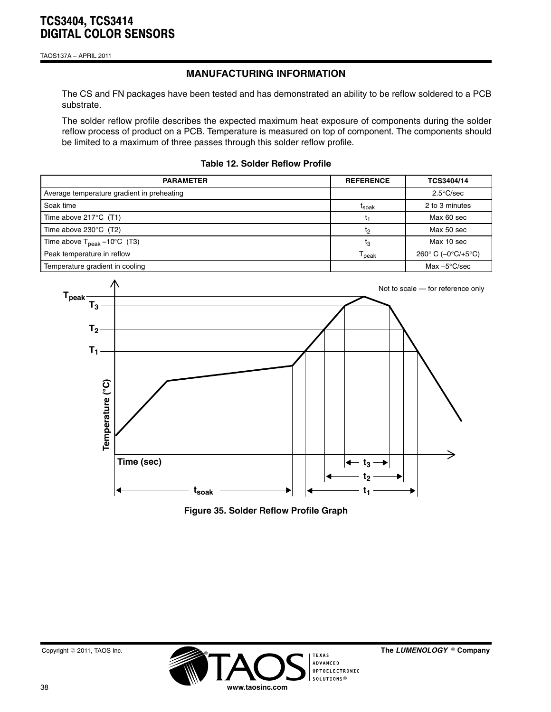TAOS137A − APRIL 2011

# **MANUFACTURING INFORMATION**

The CS and FN packages have been tested and has demonstrated an ability to be reflow soldered to a PCB substrate.

The solder reflow profile describes the expected maximum heat exposure of components during the solder reflow process of product on a PCB. Temperature is measured on top of component. The components should be limited to a maximum of three passes through this solder reflow profile.

**Table 12. Solder Reflow Profile**

| <b>PARAMETER</b>                                 | <b>REFERENCE</b>  | TCS3404/14             |
|--------------------------------------------------|-------------------|------------------------|
| Average temperature gradient in preheating       |                   | $2.5^{\circ}$ C/sec    |
| Soak time                                        | t <sub>soak</sub> | 2 to 3 minutes         |
| Time above $217^{\circ}$ C (T1)                  | t۱                | Max 60 sec             |
| Time above $230^{\circ}$ C (T2)                  | t <sub>2</sub>    | Max 50 sec             |
| Time above $T_{\text{peak}} - 10^{\circ}$ C (T3) | t3                | Max 10 sec             |
| Peak temperature in reflow                       | <sup>l</sup> peak | 260° C (-0°C/+5°C)     |
| Temperature gradient in cooling                  |                   | Max $-5^{\circ}$ C/sec |



**Figure 35. Solder Reflow Profile Graph**

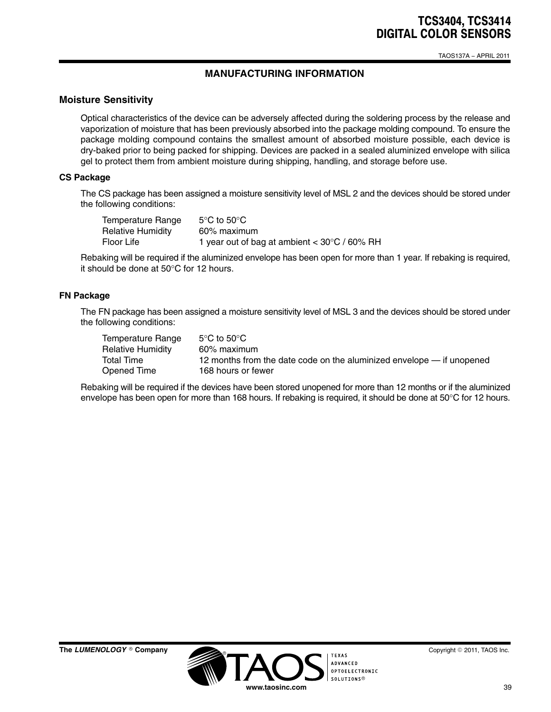TAOS137A − APRIL 2011

# **MANUFACTURING INFORMATION**

## **Moisture Sensitivity**

Optical characteristics of the device can be adversely affected during the soldering process by the release and vaporization of moisture that has been previously absorbed into the package molding compound. To ensure the package molding compound contains the smallest amount of absorbed moisture possible, each device is dry-baked prior to being packed for shipping. Devices are packed in a sealed aluminized envelope with silica gel to protect them from ambient moisture during shipping, handling, and storage before use.

#### **CS Package**

The CS package has been assigned a moisture sensitivity level of MSL 2 and the devices should be stored under the following conditions:

| Temperature Range | $5^{\circ}$ C to $50^{\circ}$ C                          |
|-------------------|----------------------------------------------------------|
| Relative Humidity | 60% maximum                                              |
| Floor Life        | 1 year out of bag at ambient $<$ 30 $\degree$ C / 60% RH |

Rebaking will be required if the aluminized envelope has been open for more than 1 year. If rebaking is required, it should be done at 50°C for 12 hours.

#### **FN Package**

The FN package has been assigned a moisture sensitivity level of MSL 3 and the devices should be stored under the following conditions:

| Temperature Range        | $5^{\circ}$ C to $50^{\circ}$ C                                       |
|--------------------------|-----------------------------------------------------------------------|
| <b>Relative Humidity</b> | 60% maximum                                                           |
| Total Time               | 12 months from the date code on the aluminized envelope — if unopened |
| Opened Time              | 168 hours or fewer                                                    |

Rebaking will be required if the devices have been stored unopened for more than 12 months or if the aluminized envelope has been open for more than 168 hours. If rebaking is required, it should be done at 50°C for 12 hours.